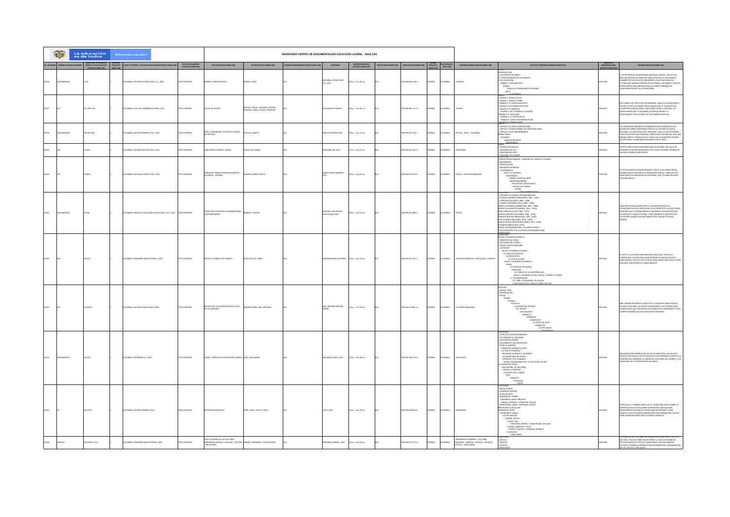|  | G<br>La educación<br>es de todos<br>INVENTARIO CENTRO DE DOCUMENTACIÓN COLECCIÓN JUVENIL - ADULTOS<br>Mineducación |             |  |                                                            |                   |                                                                                       |                                                                    |                                       |                                          |                                           |                                 |                        |               |                             |                                                                                              |                                                                                                                                                                                                                                                                                                                                                                                                                                                                                                                                                                                                                                                                                                                                                                                                 |            |                                                                                                                                                                                                                                                                                                                                                       |
|--|--------------------------------------------------------------------------------------------------------------------|-------------|--|------------------------------------------------------------|-------------------|---------------------------------------------------------------------------------------|--------------------------------------------------------------------|---------------------------------------|------------------------------------------|-------------------------------------------|---------------------------------|------------------------|---------------|-----------------------------|----------------------------------------------------------------------------------------------|-------------------------------------------------------------------------------------------------------------------------------------------------------------------------------------------------------------------------------------------------------------------------------------------------------------------------------------------------------------------------------------------------------------------------------------------------------------------------------------------------------------------------------------------------------------------------------------------------------------------------------------------------------------------------------------------------------------------------------------------------------------------------------------------------|------------|-------------------------------------------------------------------------------------------------------------------------------------------------------------------------------------------------------------------------------------------------------------------------------------------------------------------------------------------------------|
|  | No. DE ORDEN NÚMERO CÓDIGO DE BARR                                                                                 |             |  | GAR - EDITORIAL - FECHA DE PUBLICACION (ETIQUETA MARC 260) | TIPO DE DOCUMENTO | TITULO IETIQUETA MARC 2451                                                            | AUTOR (ETIQUETA MARC 100)                                          | TORES SECUNDARIOS (ETIQUETA MARC 700) | COPYRIGHT                                | DESCRIPCIÓN FISICA<br>IETIQUETA MARC 2001 | <b>ISSN ISTIQUETA MARC 0221</b> | SEN (CTV) ICTA MARY 02 |               | PAIS (ETIQUETA<br>MARC 008) | MATERIAS (LEMB) SETIQUETA MARC 6501                                                          | NOTAS DE CONTENIDO IETIQUETA MARC 505                                                                                                                                                                                                                                                                                                                                                                                                                                                                                                                                                                                                                                                                                                                                                           |            | RESUMENTETIQUETA MARC 5201                                                                                                                                                                                                                                                                                                                            |
|  |                                                                                                                    |             |  | MBA: EDITORIAL VICENS VIVES, S.A., 2015                    |                   | <b>SEE Y OTROS RELATOS</b>                                                            | OV, ISAA                                                           |                                       | EDITORIAL VICENS VIVES<br>i.a., 2015     | p.: 13 x 20 cm                            |                                 | 0388421-48-3           | So.           |                             |                                                                                              | INDIACE<br>INDIACEOCOM<br>- EL PROTAGONISMO DE LOS ROBOTS<br>- EL PROTAGONISMO DE LOS ROBOTS<br>- EL PROTAGONISMO DE LOS ROBOTS<br>- ESTAS SELECCIÓN<br>- COBBLE<br>- TADOS LOS PROBLEMAS DEL MUNDO<br>- TADOS LOS PROBLEMAS DEL MUNDO<br>- TADOS LOS                                                                                                                                                                                                                                                                                                                                                                                                                                                                                                                                           |            | ESCRITOR RUSO-NORTEAMERICANO ISSAC ASIMOV, UNO DE LOS<br>15 DESTACADOS AUTORIS DE CHINAR FICCÓN, ES JUSTAMENTE<br>LEBRE POR SUS RELATOS SOBE ROBOTS. EN LA SOCIEDAD DEL<br>FIURO QUE ASIMOV OESCRIBE EN SUS OBRAS, LOS ROBOTS, LEJOS DE                                                                                                               |
|  |                                                                                                                    | 1,199 T14t  |  | OMBA: SIGLO DEL HOMBRE EDITORES, 2012                      | TO IMPRESO        | LLER DE TEATRO                                                                        | MOTOS, TOMÁS ; NAVARRO, ANTONI<br>PALANCA, XEMA ; TEJEDO, FRANCESC |                                       | DICIONES OCTAEDRO                        | 04 p. : 19 x 26 cm                        |                                 | 8-958-665-217-9        | PAÑOL         | LOMBIA                      | TEATRO                                                                                       | HARLE<br>- UNIDAD 1. MAGIA Y RITOS<br>- UNIDAD 3. EL TEATRO MEDIVAL<br>- UNIDAD 3. EL TEATRO MEDIVAL<br>- UNIDAD 5. EL BARROCO<br>- UNIDAD 5. EL BARROCO<br>- UNIDAD 5. EL BARROCO<br>- UNIDAD 5. EL BARROCO<br>UNIDAD 7. EL REALISMO<br>- UNIDAD 8. EL TEATRO ÉPICO<br>- UNIDAD 9. CAOS E INCOMUNICACIÓN<br>span to train total                                                                                                                                                                                                                                                                                                                                                                                                                                                                | 113357     | ITE LIBRO ES EL FRUTO DE DOS PASIONES: UNA ES LA PASIÓN POR EL<br>JATRO Y OTRA, LA PASIÓN POR LA EDUCACIÓN. EL TEATRO ES UN<br>JSAR PRINILEGIADO PARA LA REFLEXION, PARA EL DÍÁCISO, UN<br>ESTRUMENTO QUE TE AYUDARÁ A CONOCER MEIOR Y                                                                                                                |
|  |                                                                                                                    | 166 W34     |  | OMBA: EDITORA GÉMINIS LTDA., 2015                          | OZSRRNI OT        | OCK COLOMBIANO 100 DISCOS 50 AÑOS<br><b>HISTORIA</b>                                  | <b>ILSON, PABLITO</b>                                              |                                       | ABLITO WILSON, 2013                      | 49 p. : 15 x 23 cm                        |                                 | 8-958-8727-83-7        | AÑOL          | LOMBIA                      | MÚSICA - ROCK - COLOMBIA                                                                     | -<br>CAPÍTULO I EL ROCK CONVENCIONAL<br>CAPÍTULO II OTRAS FORMAS DE CONSTRUIR ROCK<br>CAPÍTULO III LOS INNOMBRABLES<br><b>ONUS TRACK</b><br>GLOSARIO<br>- AGRADECIMIENTOS<br>- BBUCGRAFÍA                                                                                                                                                                                                                                                                                                                                                                                                                                                                                                                                                                                                       | 11358      | 1. PERIODISTA ARGENTO-COLOMBIANO PABLITO WILSON ES UN<br>VERO RECORRIDO POR GRAN PARTE DE LA HISTORIA DEL ROCK<br>ACIONAL. EN UNA PROSA MUY PERSONAL Y ÁGIL, EL AUTOR RESEÑA<br>EN DISCOS PARA SER TOMADOS COMO PUNTO DE PARTIDA; CON UNA<br>IRADA FRESCA Y EXHAUSTIVA SE VINCULAN LOS DISTINTOS RITMOS<br>TÓCTONOS Y MODERNOS ASOCIADOS CON EL ROCK. |
|  |                                                                                                                    | iw.         |  | Change Friedrich (Archiverna, 2012)                        | co asseso         | NCIONES DE AMOR Y DUDAS                                                               | AZA, JOSE MARÍA                                                    |                                       | NCIONES SM, 2012                         | $170.14 \times 21$ cm                     |                                 | 8-958-705-641-9        | <b>PAÑOL</b>  | <b>COMBIA</b>               | awnown                                                                                       | -<br>FOEMAS CON MÚSICA<br>CANCIONES DE HOY<br>CANCIONES DE AYER<br><b>NOONES DE S</b>                                                                                                                                                                                                                                                                                                                                                                                                                                                                                                                                                                                                                                                                                                           | 11322      | n este libro se recogen canciones en español del siglo XX,<br>Grupados en tres apartados: hoy, ayer y siempre, además de<br>Lgunos poemas con música.                                                                                                                                                                                                 |
|  |                                                                                                                    |             |  | LOMBIA: EDITORIAL CÓDICE LTDA., 2012                       | TO IMPRESO        | .<br>Mingú trunto poemas blingūes :<br>Lenque - español                               | AREZ, MARÍA TERESA                                                 |                                       | MAÍA TERESA RAMÍREZ,                     | 36 p. : 16 x 23 cm                        |                                 | 8-958-8416-20-5        | AÑOL          | oven                        | POESÍA - AFRO DESCE                                                                          | $\begin{array}{c}\n\text{ABI} \\ \text{ABI} \\ \hline\n\end{array}$                                                                                                                                                                                                                                                                                                                                                                                                                                                                                                                                                                                                                                                                                                                             |            | : UN VOLUMEN DE POESÍA BLUNGÚE, CON EL CUAL MARÍA TERESA<br>MAÍRIZ MEVA CONTINÚA SU TRABAJO EN LENGUA - HABLA DE LOS<br>GITANTES DE SAN BASIJO DE PALENQUE, QUE YA HABIA INICIADO<br>"N ABALENGUA.                                                                                                                                                    |
|  |                                                                                                                    |             |  | MINA: CARVAJAL SOLUCIONES EDUCATIVAS S.A.S., 2010          | TO IMPRESO        | mi nola ne poesía i amioni<br><b>NTFMECK</b>                                          | NNETT, PIEDAD                                                      |                                       | <b>INAIA</b> SOLUTIONS<br>UCATIVAS, 2010 | $0a.14 \times 21 cm$                      |                                 | 893845-2989-3          | <b>Vio</b>    | <b>NEMC</b>                 |                                                                                              | - CIEN AÑOS DE POESÍA LATINOAMERICANA<br>.<br>Oliverko Gisonoo (Ascentina, 1891 - 1967).<br>CÉSAR VALLEJO (PERÚ, 1892 - 1938)<br>- LESMY MALERIO (PRES - 1931 - 1948)<br>- VICENTE HUIDORO (CHLE, 1893 - 1948)<br>JORGE LUIS BORGES (ARGENTRA, 1899 - 1936)<br>XAVIER VILLAURRUTIA (MÉXICO, 1903 - 1950)<br>PARICH VILLAURRUTIN (MERICU), 1903 - 1950)<br>PABLO NERUDA (CHEE, 1904 - 1973)<br>AURELIO ARTURO (COLOMBIA, 1906 - 1974)<br>PRINCIPE MOLINA (ARGENTINA, 1920 - 1997)<br>2055: LEZAMA LIMA (CUBA, 1910 - 1975)<br>2055: LEZAMA LIMA (CUBA, 1910 - 1975)<br>2MILIO ADOLFO WESTPHALEN (PERÚ, 1911 - 2001)<br>EMILIO ADOLFO WESTPIALEN (PDRU, 1911 - 2001)<br>NICANOR PARRA (CHILE, 1914)<br>POESÍA LATINOAMERICANA - UN LENTO REPASO<br>CITAS A PROPÓSITO DE LA POESÍA LATINOAMERICANA |            | DA ANTOLOGÍA QUIERE SER A LA VEZ REPRESENTATIVA Y<br>UMM MILIONAL QUANT AR A NA BARBADA INTERNATIONAL<br>STIMULANTE EN ESTA ANTOLOGÍA SE HA PROPUESTO LAS DOS COSAS<br>ERO MAS QUE ILUSTRAR ABARCA O INFORMAR, QUISIERA SEDUCIR.<br>IACER QUE EL PÚBLICO JUVENIL - PERO TAMBIÉN EL MAESTRO O<br>TOR ARCIONADO QUE HA TENIDO POCO CONTACTO CON EL      |
|  |                                                                                                                    |             |  | OMBA: PANAMERICANA EDITORIAL, 2004                         | TO IMPRESO        | 11705 Y LEYENDAS DEL MUNDO                                                            | VA VALLEJO, FABIO                                                  |                                       |                                          | 14 p.: 16 x 23 cm                         |                                 | 18-958-30-1576-2       | SPAÑOL        | AIBMOX                      | UENTOS INFANTILES - MITOLOGÍA - CUENTO                                                       | CONTENIDO<br>MITOS Y LEYENDAS DE GRECIA<br>- ORIGEN DE LAS COSAS<br>- LOS DIOSES DEL OLIMPO<br>DIOSES Y DIOSAS MENORES<br>AS MUSAS<br>MITOS Y LEYENDAS DE ROMA<br>- EL TEMPLO DE JÚPITER<br>- LA DIOSA VESTA<br>- EL DIOS VULCANO<br>MITOS Y LEYENDAS DE AMÉRICA<br>- SEDNA $\cdot$ EL POLITEMO DE ALASKA<br>- ATAENTISIC<br>- EL TABACO DE LA MONTAÑA AZUL<br>MITOS Y LEYENDAS DE ASIA, ÁFRICA, OCEANÍA Y EUROPA<br>- LIYEL EMPERADOR<br>LI T EL EMPERADOR<br>- EL TIGRE, EL GRAHMÁN Y EL CHACAL                                                                                                                                                                                                                                                                                               | 13362      | MITO Y LA LEYENDA HAN GENERADO ESCUELAS, TEÓRICOS Y<br>CRÍAS QUE LOS EXPLICAN DESDE DIFERENTES PUNTOS DE VISTA.<br>RA UNOS EL MITO ES UNA FICCIÓN; PARA OTROS, UNA LÓGICA; PARA<br>INOS, UNA FORMA DE CONOCIMIENTO                                                                                                                                    |
|  |                                                                                                                    |             |  | COMBIA: EDITORIAL MAGISTERIO, 2009                         | OZERNI OTH        | LATOS DE LAS PAMPAS WAYUÚ LA VOZ<br>E LOS ARCANOS                                     | OMOTIVA JERRA AREL ANTONIO                                         |                                       | EL ANTONIO MEDINA                        | 134 p.: 17 x 20 cm                        |                                 | 78-958-20-0961-8       | <b>SPAÑOL</b> | <b>AIGMOJ</b>               | CULTURAS INDÍGENA                                                                            |                                                                                                                                                                                                                                                                                                                                                                                                                                                                                                                                                                                                                                                                                                                                                                                                 | <b>TM3</b> | EL MEDINA RECORRE EL MAPA DE LA LITERATURA ORAIG, WAYUÚ.<br>COGE Y DESCRIBE LOS MITOS FORMADORES Y LAS LEYENDAS MAS<br>MENTADAS QUE CONTINÚAN ACTUANDO EN EL IMAGINARIO Y EN EL<br>PORTAMENTO DE MUCHOS WAYUÚ MAYORES.                                                                                                                                |
|  |                                                                                                                    |             |  | MISA: RICHMOND S.A., 2011                                  |                   | SES Y HÉROES DE LA MITOLOG                                                            | EJA, ANA MARÍ                                                      |                                       | MARÍA SHUA, 2011                         | 14 p.: 12 x 20 cm                         |                                 | 8958-758-233-8         | <b>Scc</b>    | MBIA                        |                                                                                              | CONTINUES<br>CONTRACTES MITTS GRIEGGS?<br>ASÍ COMENCIÓ EL UNIVERSO<br>LOS INDOS DE CONORG<br>LA GUERRA DE LOS ROMORTALES<br>- LA GUERRA DE LOS ROMORTALES<br>- PROMORTA DE RESPOSA<br>- HA ANYINTARA DE TROTA<br>- HA ANYINTARA DE TROTA<br>- HA<br>A GUERRA DE TROYA<br>- UNA GUERRA DE DIEZ AÑOS<br>- ODISEO, EL REGRESO<br>LOS DIOSES DEL OLIMPO<br>$\cdot$ zeus $\cdot$ afrodita<br>- POSEIDÓN<br>- HADES                                                                                                                                                                                                                                                                                                                                                                                   |            | IA MARIA SHUA NARRA CON UN ESTILO MAGISTRAL LOS RELATOS<br>ÍTICOS MÁS BELLOS. EN SUS PAGINAS SE ENCUENTRAN EL MITO DE LA<br>ENCIÓN DEL UNIVERSO, EL ORISEN DE LOS DIOSES DEL OLIMPO, Y LAS<br>ENTURAS DE LOS HÉROES MAS VALIENTES.                                                                                                                    |
|  |                                                                                                                    | Y57b        |  | LOMBA: EDITORA GÉMINIS, 2014                               | OZERNI OTXI       | SCRAFÍAS PORQUE SÍ                                                                    | ORK, LEWIS ; MALET, ORIOL                                          |                                       | JİS LLORT                                | 141 p. : 13 x 20 cm                       |                                 | 75-958-6396-80-6       |               | <b>AIGMO</b>                |                                                                                              | ADRIA, FERRAN<br>DANDRO MAGNO<br>- ALLEN, WOODY<br>ALMODÓVAR, PEDRO<br>- ANDERSEN, HANS CHRISTIAN<br>- ARDEN, ELIZABETH + RUBISTEIN, HELENA<br>ARMSTRONG, LANGE + INDURAIN, MIGUEL<br>EETHOVEN, LUDVIC VAN<br>BENENSON, PETER<br>- BERNHARDT, SARAH<br>- CALVIN, MELVIN<br>- CARSON, RACHEL<br>- CASALS, PAU<br>- CERVANTES, MIGUEL + SHAKESPEARE, WILLIAM<br>- CHANEL, GABRIELLE "COCO"<br>- CHRISTIE, AGATHA + SIMENON, GEORGES<br>- GLEOPATRI<br>CURIL MARE                                                                                                                                                                                                                                                                                                                                  | 11385      | SDE QUE EL HOMBRE HABITA EN LA TIERRA HAN VIVIDO SOBRE SU<br>IRFICIE MILES DE MILLONES DE PERSONAS. MUCHAS HAN<br>IMPEÑADO ALGUNA ACTIVIDAD MAS IMPORTANTE O MAS<br>JOESTA, QUE SE HEREDA GENERACIÓN TRAS GENERACIÓN. EN ESTE<br>RO HEMOS REUNIDO UNOS CUANTOS EJEMPLOS.                                                                              |
|  |                                                                                                                    | 100497 U71v |  | LOMBIA: PANAMERICANA EDITORIAL, 2001                       | TO IMPRESO        | DA COTIDIANA DE LAS CULTURAS<br>ERINDIAS AZTECAS - MUISCAS - UITOTOS<br><b>JCANOS</b> | REINA, FERNANDO ; PÚA GIOVANNI                                     |                                       | NDO URBINA, 2001                         | 155 p.: 16 x 23 cm                        |                                 | 78-958-10-0777-4       | <b>PAÑOL</b>  | <b>AIGMOJ</b>               | INDÍGENAS DE AMÉRICA - CULTURAS<br>GENAS - AMÉRICA - AZTECAS - MUISCAS -<br>OTOS - ARAUCANOS | <b>AZTECAS</b><br>MUSCAS<br>nms                                                                                                                                                                                                                                                                                                                                                                                                                                                                                                                                                                                                                                                                                                                                                                 |            | OS RELATOS DE ESTA CORA PRETENDEN DESCUBRIR ASPECTOS DE LO<br>que era, y en ocaciones sigue siendo, la vida cotidiana de<br>Aztecas, muiscas, uitotos y araucanos, con sus hábitos,<br>JALES, VIVIENDA, ALIMENTACIÓN, INDUMENTABIA, ORGANIZACIÓN<br>As including a warranty of                                                                        |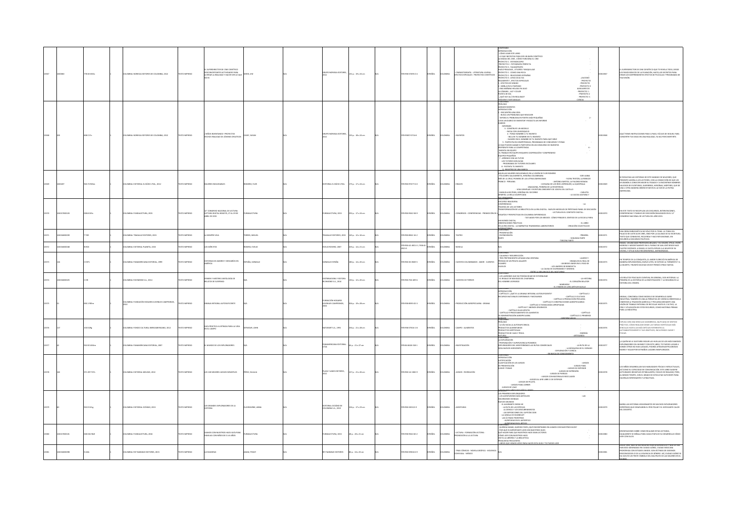| .<br>CÓMO USAR ESTE LIBRO<br>LO QUE NECESITAS PARA SER UN BUEN CIENTÍFICO<br>LA MAGIA DEL CINE, CÓMO FUNCIONA EL ONE<br>OYECTO 1 : ESTENOSCOPIO<br>OYECTO 2 : FOTOGRAFÍA PERFECTA<br>ORDRTANUAT: E OT33YC<br>PROYECTO 3 : TAUMÁTRIDO<br>1970: PERIDADA (UNICERÍA Y MAQUILLAIE)<br>PROYECTO 3 : REACCIONES EXTRAÑAS<br>PROYECTO 3 : REACCIONES EXTRAÑAS<br>PROYECTO 3 : REACCIONES EXTRAÑAS<br>1 : REENAMENTÉ , EFECTOS EDECIALES<br>1 : REENAMENTÉ , EFECTOS<br>EL SUPERIORECTOR DE CINE CIENTÍFICO QUE TE REVELA TODO, DESDE<br>LOS PASOS BÁSICOS DE LA FILMACIÓN, HASTA LOS SECRETOS PARA<br>CREAR LOS SORPRENDENTES EFECTOS DE PELÍCULAS Y PROGRAMAS DE<br><b>ERDIRECTOR DE CINE CIENTÍFICO</b><br>78.56 W32s<br>DESCONCERTANTES ACTIVIDADES PARA<br>ALTERAR LA REALIDAD Y HACER VER LO QU<br>PO NOREGA EDITORES<br>178-958-57495-0-4<br>KEMATOGRAFÍA - LITERATURA JUVENIL<br>TEOS ESPECIALES - PROYECTOS CIENTÍF<br>DLOMBIA: NORIEGA EDITORES DE COLOMBIA, 2012<br>XTO IMPRESO<br>11 p.: 19 x 24 cm<br><b>PAÑOL</b><br>AIGMOX<br>ESE, JIM<br>-<br>- PROVECTO<br>- PROVECTO<br>- PROVECTO 1<br>- PROVECTO 1<br>- PROVECTO 2<br>- PROVECTO 3<br>tvisión.<br>UNA MANANA HELADA EN JU<br>A CÁMARA , LUZ Y COLOR<br>'UESTA DE SOL<br>¿QUÉ HAY ALLÍ EN REALIDAD?<br>MÁGENES FANTASMALE<br>CONTINUES<br>KARAGOCO<br>INTRODUCCIÓN<br>- ENCUENTRA UNA IDEA<br>- ENFACUENTRA UNA IDEA<br>LEVARA EL PROBLEMA EN PARTES MÁS PEQUEÑAS<br>LEVARA EL PROBLEMA EN PARTES MÁS PEQUEÑAS<br>VARIOS<br>VARIOS<br>asos.<br>. INFORMER<br>3 - CONSTRUYE UN MODELO<br>- INICIA CON UN BOSQUEJO<br>NIÑOS INVENTANDO I PROYECTOS<br>4 - PONLE NOMBRE A TU INVENTO<br>QUÍ TIENES INSTRUCCIONES PASO A PASO, FÁCILES DE SEGUIR, PARA<br>O NOREGA EDITORI<br>135 p. : 18 x 24 cm<br>078-05857-0714-6<br>DLOMBIA: NORIEGA EDITORES DE COLOMBIA, 2012<br>OZIRRI OTI<br>ASEY, SUSAN<br>SPAÑOL<br><b>AIGMOJ</b><br>/ENTOs<br>CHOS REAUDAD DE JÓVENES CREATIVOS<br>- INCLUYE TU NOMBRE EN TU INVENTO<br>- SUGIERE EN EL NOMBRE DE TU INVENTO PARA QUÉ SIRVE<br>INVERTIR TUS IDEAS EN UNA REALIDAD, YA SEA POR DIVERTIRTE.<br>$5 - PRRICIPA EN COMPTTENCAS, PROGRAMAS DE CONCURSOS Y FERAS0 QUE PUEDES GANAA SI PARTICIPAS EN UN CONCURSO DE INVENTOSREPÁBATE PABA LA COMPTTENCIA$<br>$\mathbf{6}$ -<br>PREMART PAALA COMPITENCIA<br>BIVERTA PROGUES<br>EQUINE PREJURI DE COMPIRACIÓN Y COMPROMEO<br>EQUINE PREJURIOS<br>- PARINDE CON UN TUTOR<br>- PATENTA TU INVENTO<br>- PATENTA TU INVENTO<br>QUELLAS MUJERES INOLVIDABLES EN LA VISIÓN DE FLOR ROMERO<br><b>CHICARDA SALAVARRIETA HERCÍNA COLO</b><br><b>LOOK HIGHA</b><br>RESCATAN LAS HISTORIAS DE ESTE MANDJO DE MUJESRES, QUE<br>INÉS DE LA CRUZ, PIONERA DE LAS LETRAS AMERICANAS<br>- FLORA TRISTÁN, LA REBELDE<br>- ANTONIA SANTOS, LA PALOMA ROSADA<br>.<br>PRESENTO AHOBA A LOS LECTORES, CON LA CONVICCIÓN DE QUE LES<br>AYUDARÁN A CONOCER MEJOR SU PASADO Y A ENCONTRAR NOMBRE<br><b>MANCO - PERUANA</b><br>20.72 RdSm<br>DLOMBIA: EDITORIAL EL BÚHO LTDA., 2012<br><b>DZERNI OTXI</b><br>MUJERES INOLVIDABLES<br>MERO, FLOR<br>ACTORIAL EL BÚMO LTDA.<br>175 p.: 17 x 24 cm<br>978-958-97477-6-0<br><b>PAÑOL</b><br><b>AIGMOJ</b><br>- CATALINA DE LOS RÍOS LISPERGUER, LA QUINTRALA<br><b>USAYO</b><br>.<br>VALIOSOS DE ESCRITORAS, GUERRERAS, HEROÍNAS, MÁRTIRES, QUE DE<br>- ANACAONA, PIONERA DE LA RESISTENCIA<br>- VIDA EJEMPLAR Y ESCRITURA OBEDIENTE DE JOSEFA DEL CASTILLO<br>UNA U OTRA MANERA DEBEN ESTAR EN EL ALTAR DE LA PATRIA<br><b>RICANA</b><br>MANUELA BELTRÁN, HEROÍNA DEL SOCORRO<br>IMERO, LA BELLA SACRIFICADA<br>$-$ CARLOTA<br>- LA CADCA GAITANA Y<br><b>IS VENSION FAS</b><br>CURSO INAUGURAL<br>.<br>EN ESTE TEXTO SE RECOPILAN LOS DISCURSOS, INTERVENCI<br>CONFERENCIAS Y PANELES DE DISCUSIÓN REALIZADOS EN E<br>CMBA-FUNDALECTURA 2015<br>CTO IMPRESO<br>TURA DIGITAL BOGOTÁ, 27 AL 29 DE<br>DALECTURA, 2015<br>292 p.: 17 x 24 cm<br>0-82-534 0342<br><b>PAÑOL</b><br>AIGMOX<br><b>DNGRESOS - CONFERENCIAS - PROF</b><br>DOS EN EL 12"<br><b>BROW</b><br><b>METTINA</b><br>$\overline{\mathbf{m}}$<br>ERIL DE 2015<br>ONGRESO NACIONAL DE LECTURA DEL AÑO 2015.<br>- TATUADOS POR LOS MEDIOS : CÓMO PENSAR EL SENTIDO DE LA ESCUELA PARA<br>JN MUNDO DIGITAL<br>JRJENTACIONES PRÁCTICAS<br>$-11.1880$<br>N LA ERA DIGITAL : LA NARRATIVA TRANSMEDIA LABORATORIOS<br>JOINT ON COUNTINA DE<br><b>PASSAGES</b><br>UNA OBRA EMBLEMÁTICA NO SÓLO POR EL TEMA: LA TOMA DEL<br><b>PRESENTACIÓN</b><br>ALACIO DE JUSTICIA EN 1985, SINO POR LA CALIDAD DE SU ESCRITURA.<br>OMBIA: TRAGALUZ EDITORES, 2015<br><b>IMPRESO</b><br><b>COMPRE VIVA</b><br>RRES, MIGUEL<br>ALUZ EDITORES, 2015<br>$145$ p. : 12 x 16 cm<br>78-958-8562-16-2<br><b>AIGNO</b><br>LATRO<br>SCENOGRAFÍA<br>- PRIMERA<br>SEGUNDA PARTE<br>a Smr<br>IXTO QUE CONMUEVE, RECUERDA Y HACE REFLEXIONAR, SIN<br>ECURRIR A DISCURSOS POLÍTICOS.<br>TERCERA PARTE<br>MAEL UN ANCIANO PROFESOR JUBILADO. Y SU MUJER, OTILIA, VIVEN<br>978-958-42-4921-0 / 958-42<br>4921-5<br>ANNIS, UN PHUNDED PROTECT IN EL PUEBLO DE SAN JOSÉ DESDE HACE<br>ADROSA Y MODESTAMENTE EN EL PUEBLO DE SAN JOSÉ DESDE HACE<br>JUATRO DECENIOS. A ISMAEL LE GUSTA ESPIAR A LA MUIER DE SU<br>scoposa<br>OMBA: EDITORIAL PLANETA, 2015<br>O ZERRIO<br>s exéricitos<br>SERO, EVELIO<br>VELIO ROSERO, 2007<br>$3p. : 14 \times 21$ cm<br><b>PAÑOL</b><br><b>COMBIA</b><br><b>AJTUON</b><br>13372<br>ROS<br>NO Y OTHA SHEE BECOMVENIDLO AVERGONZAD<br>INTENIDO<br>IRES PRETENDEENTES APAGAN UNA VENTANA<br>IESEAS DE UN PIRATA GALANTE<br>IESEAS DE UN PIRATA GALANTE<br>IESEADO<br>EN TIEMPOS DE LA CONQUISTA, EL AMOR FLORECIÓ EN AMÉRICA DE<br>MANERA ESPLENDOROSA, BURLÓ LEYES, SE EXPUSO AL TORMENTO Y .<br>LA MUERTE, TRIUNFÓ MUCHAS VECESY PERDIÓ OTRAS TANTAS.<br>ORIAS DE AMORES Y DESVARÍOS EN<br>$16000M$ . DRAMA IN IL REAL DE .<br>. LOS AMORIS DE REALICIA IN 1960 DE REAL DE .<br>. LOS AMORIS DE REALICIA IN 1960 DE REAL DE SUBDERTA DE 1960 DE REALICIA IN 1971 HEM .<br>. LA CAUSA DE LA MOTHEMA .<br>.<br>1904 .<br>MBA: PANAMERICANA EDITORIAL, 1999<br>OPERATION<br>PAÑA, GONZALO<br>APAIO FSPARA<br>180 p. : 14 x 20 cm<br>78-958-30-0569-5<br><b>NARCH</b><br>AIGMO<br>INTOS COLOMBANOS - AMOR - CUENTOS<br>1171<br>men<br>WIENINO<br>13 LADRONES QUE NO PODÍAN DEJAR DE ESTORNUDAR<br>1. REGALO DE NAVIDAD DEL CHAPARRAL<br>1. HOMBRE LEOPARDO<br><b>14 BELATOS DOLICIALES CUENTAN, EN GENERAL, DOS HISTORIAS, LA</b><br>IMEN Y MISTERIO ANTOLOGÍA DE<br>LATOS DE SUSPENSO<br><b>BUILDONAY FOLD</b><br>LA MISTORIA<br>MBA: RICHMOND S.A., 2014<br>p.:12 x 20 cm<br>1958-704-409-6<br>ENTOS DE TERROR<br>IMPRESO<br>SENDO FORDALE CONTAN, LA GIARACIÓN Y LA SEGUNDA ES LA<br>STORIA DEL CRIMEN.<br>STORIA DEL CRIMEN.<br>HMOND S.A., 2014<br>- EL CORAZÓN DELATOR<br>- MARKHEIM<br>- EL CRIMEN DE LORD ARTHUR SAVILLE<br><b>HODUCCIÓN</b><br>APÍTULO 1 / QUÉ ES LA GRANIA INTEGRAL AUTOSUFICIENTE?<br>CAPÍTULO 2<br>URSOS NATURALES DISPONIBLES Y NECESARIOS<br>- CAPÍTULO 3 CULTIVOS<br>- CAPÍTULO 4 PRODUCCIÓN PECUARIA<br>RANIA, CONCEBIDA COMO MODELO DE DESARROLLO AGRO<br>INDUSTRIAL TAMBIÉN ES UNA ALTERNATIVA DE VIVENCIA ORIENTADA A<br>CIMENTAR LA TRADICIÓN AGRÍCOLA Y PECUARIA MEDIANTE UNA<br>ACIÓN HOGARES<br>LOMBIA: FUNDACIÓN HOGARES JUVENILES CAMPESINOS,<br>- CAPÍTULO 5 CONSTRUCCIONES AGROPECUARIAS<br>30.1 FBSm<br>OZERNI OTH<br>MNIA INTEGRAL AUTOSUFICIENTE<br>JUVENILES CAMPESINOS.<br>04 p. : 19 x 28 cm<br>078-058-0505-02-3<br>SPAÑOL<br>AIBMOJO:<br>PRODUCCIÓN AGROPECUARIA - GRANIA<br>CAPÍTULO 6 TECNOLOGÍAS APROPIADAS<br>VISIÓN DE TRABAJO INTEGRAL DE RECICLAJE HASTA EL CULTIVO, LA<br>- CAPÍTULO 7 ABONOS ORGÁNICOS<br>CRÍA Y UTILIZACIÓN DE ESTOS RECURSOS, COMO MATERIAS PRIMAS.<br>PARA LA INDUSTRIA.<br>- CAPÍTULO B ALELOPATÍA<br>APÍTULO 9 PROCESAMIENTO DE ALIMENTOS<br>ADMINISTRACIÓN AGROPECUARIA<br>CAPÍTULO -<br>CAPÍTULO 11 PRIMEROS<br><b>AGE</b><br>XPILCA CON UNA SENCILLEZ ASOMBROSA, SALPICADA DE SENTIDO<br>RÁCTICO, CÓMO REALIZAR DESDE LAS TAREAS HORTÍCICAS MÁS<br>ENCILLAS HASTA LAS MÁS DIFÍCULES REFERENTES AL<br>UTOGARASTECIMIENTO Y SUS OBJETIVOS, INCLUYENDO CAZAR Y<br>POCAR<br>ÍA PRÁCTICA ILUSTRADA PARA LA VIDA<br>ADUR, JOHN<br>$5 p. : 21 \times 28$ cm<br>038-57504-1-8<br>ERICANO, 2012<br><b>APRESC</b><br><b>RART S.A., 1991</b><br>MPO - ALIMENTOS<br>IL CAMPO<br>ENERGÍA<br>TURAL<br>minimo<br>Exploración<br>Reparación y supervivencia pioneros<br>(A QUIÉN NO LE GUSTARÍA SEGUIR LAS HUELLAS DE LOS MÁS FAMOSOS<br>EXPLORADORES DEL MUNICO <sup>3</sup> CON ESTE LIBRO, TÚ PLEDES LLEGAR A<br>EONDE OTROS NO HAN LLEGADO, PODRÁS ATRAVESAR PELIGROSOS<br>MARES Y VIALAR POR EXTRAÑOS LUGARES INEXPL<br>78-84-8418-318-1<br>0.92 W34r<br>MINA: PANAMERICANA EDITORIAL, 2007<br><b>IMPRESO</b><br>NUNDO DE LOS EXPLO<br>$p. : 21 \times 27$ cm<br>R ORADORES DEL MEDITERRÁNEO LAS RUTAS COMERCIALES<br>NA NUEVOS HORIZONTES<br>LA BÚSQUEDA DE LA .<br>LA BÚSQUEDA DE EL DORADO -<br>LA DE CONDOMIRATA<br>- EN BUSCA DE CONOCIMIENTO<br>KÓLOUGOUR<br>TIFICACIÓN<br>LASIFICACIÓN DE LOS JUEGOS<br><b>JUEGOS</b><br>DE PRESENTACIÓN<br>- JUEGOS PARA<br>35 NIÑOS DESARROLLAN SUS HABILIDADES FÍSICAS E INTELECTUALES<br><b>CHRYPARAR</b><br>$\begin{array}{c} \text{. HIGGS DE INTEROR} \\ \end{array}$ - AUEGOS DE EXPRESIÓN<br>ASÍ COMO SU CAPACIDAD DE COMUNICACIÓN. ESTE LIBRO SUGIERE<br>ACTIVIDADES INFANTILES ESTIMULARITS, FÁCILES DE REALIZAI, PERO,<br>AL MISMO TIEMPO, CON EL GRADO DE DIFICULTAD SUFICIENTE PARA.<br>HACERLAS INTERESANTES Y ATRACTIVAS.<br>PLAZA Y JANES EDITORES,<br>27 p. : 21 x 26 cm<br>1.397 P276<br>MBA: EDITORIAL MOLINO, 2012<br>25 100 MEJORES JUEGOS INFANTILES<br>REZ, EULALIA<br>78-958-14-1182-9<br>JEGOS - RECREACIÓN<br>CO IMPRESO<br>PAÑOL<br>MBIA<br>- AN MODEL IS AN ABOUT THE STATE OF A LITERATURE .<br>IUEGOS CON MATERIALES RECICLADOS .<br>IUEGOS AL AIRE LIBRE O DE EXTERIOR .<br>${\bf HUCGOS} \cdot {\bf HUCGOS} \cdot {\bf HUCGOS} \cdot {\bf HUCGOS} \cdot {\bf HUCGOS} \cdot {\bf HUCGOS} \cdot {\bf HUCGOS} \cdot {\bf HUCGOS} \cdot {\bf HUCGOS} \cdot {\bf HUCGOS} \cdot {\bf HUCGOS} \cdot {\bf HUCGOS} \cdot {\bf HUCGOS} \cdot {\bf HUCGOS} \cdot {\bf HUCGOS} \cdot {\bf HUCGOS} \cdot {\bf HUCGOS} \cdot {\bf HUCGOS} \cdot {\bf HUCGOS} \cdot {\bf HUCGOS} \cdot {\bf HUCGOS} \cdot {\bf HUCGOS} \cdot {\bf HUCGOS} \cdot {\bf HUCGOS} \cdot {\bf HUC$<br>LOS PRIMEROS EXPLORADORES<br>OS AVENTUREROS MÁS ANTIGUOS<br>$-145$<br>URSIONES VIKINGAS<br>EVOS MUNDOS<br>- EL ALMIRANTE ZHENG HE<br>MIRA LAS HISTORIAS APASIONANTES DE MUCHOS EXPLORADORES<br>OS GRANDES EXPLORADORES DE LA<br>TORIAL OCEÁNO DE<br>LOMBIA S.A., 2013<br>178-958-320121-9<br>XOMBA: EDITORIAL OCÉANO, 2013<br>XTO IMPRESO<br>AYBOURNE, ANNA<br>104 p. : 17 x 23 cm<br><b>PAÑOL</b><br><b>AIGMOJ</b><br>- LA RUTA DE LAS ESPECIAS<br>- LA RUTA DE LAS ESPECIAS<br>- LAS EXPEDICIONES DEL CAPITÁN COOK<br>- LAS EXPEDICIONES DEL CAPITÁN COOK<br>- LAS ÚLTIMAS PRONTERAS<br>- AVENTURAS EN EL ANTÁRTICO<br>0013379<br>INTRÉPIDOS QUE DESAFIARON EL FRÍO POLAR Y EL SOFOCANTE CALOR.<br>DEL DESIERTO.<br>19 C41e<br>ENTURA<br>AIROT<br>UERIDA MAMÁ, QUERIDO PAPÁ ¿QUÉ ENCONTRABÁS EN LEAMOS CON NUESTROS HUOS?<br>POR QUÉ ES IMPORTANTE LEER CON NUESTROS HIJOS<br>JUÉ HACER PARA QUE NUESTROS HIJOS SEAN LECTORES<br>INTACIONES SOBRE COMO REALIZAR ESTAS LECTURAS.<br>ECTURA - FORMACIÓN LECTORA<br>MIOS CON NUESTROS HUOS GUÍA PARA<br>28.534 R621<br><b>ILOMBIA: FUNDALECTURA, 2016</b><br>OZERNI OTXI<br><b>DALECTURA</b><br>NDALECTURA, 2015<br>48 p. : 20 x 21 cm<br>978-958-9342-60-2<br><b>PAÑOL</b><br>AIGMOJO<br>0013380<br>GUALMENTE SE SEÑALA PARA CADA ETAPA DE SU DESARROLLO CÓMO<br>MILIAS CON NIÑOS DE O A 6 AÑOS<br><b>ROMOCIÓN A LA LECTURA</b><br>OMO LEER CON NUESTROS HUOS<br>LEER CON ELLOS.<br>VISITA LA LIBRERÍA Y LA BIBLIOTECA<br><b>UNTAS FRECUENTES</b><br>COLIF HEMIOS I<br>HAN SIDO ASESINADAS EN CIUDAD JUÁREZ, CIUDAD MEJICANA<br>TIRAS CÓMICAS - NOVELA GRÁFICA - VIOLENCIA<br>CONFUGAL - MÉXICO<br><b>3.OMBIA: REY NARANJO EDITORES, 2015</b><br>O IMPRESO<br>AM. PEGGY<br>NARANJO EDITORES<br>$n: 16 \times 23$ cm<br>0-0-4028-0230-023<br><b>PAÑOL</b><br>AIBM03<br>M/a<br>113381 |  |  |  |  |  |  |  |  |         |                                                                                                                                                                                                                                                                                                         |
|-----------------------------------------------------------------------------------------------------------------------------------------------------------------------------------------------------------------------------------------------------------------------------------------------------------------------------------------------------------------------------------------------------------------------------------------------------------------------------------------------------------------------------------------------------------------------------------------------------------------------------------------------------------------------------------------------------------------------------------------------------------------------------------------------------------------------------------------------------------------------------------------------------------------------------------------------------------------------------------------------------------------------------------------------------------------------------------------------------------------------------------------------------------------------------------------------------------------------------------------------------------------------------------------------------------------------------------------------------------------------------------------------------------------------------------------------------------------------------------------------------------------------------------------------------------------------------------------------------------------------------------------------------------------------------------------------------------------------------------------------------------------------------------------------------------------------------------------------------------------------------------------------------------------------------------------------------------------------------------------------------------------------------------------------------------------------------------------------------------------------------------------------------------------------------------------------------------------------------------------------------------------------------------------------------------------------------------------------------------------------------------------------------------------------------------------------------------------------------------------------------------------------------------------------------------------------------------------------------------------------------------------------------------------------------------------------------------------------------------------------------------------------------------------------------------------------------------------------------------------------------------------------------------------------------------------------------------------------------------------------------------------------------------------------------------------------------------------------------------------------------------------------------------------------------------------------------------------------------------------------------------------------------------------------------------------------------------------------------------------------------------------------------------------------------------------------------------------------------------------------------------------------------------------------------------------------------------------------------------------------------------------------------------------------------------------------------------------------------------------------------------------------------------------------------------------------------------------------------------------------------------------------------------------------------------------------------------------------------------------------------------------------------------------------------------------------------------------------------------------------------------------------------------------------------------------------------------------------------------------------------------------------------------------------------------------------------------------------------------------------------------------------------------------------------------------------------------------------------------------------------------------------------------------------------------------------------------------------------------------------------------------------------------------------------------------------------------------------------------------------------------------------------------------------------------------------------------------------------------------------------------------------------------------------------------------------------------------------------------------------------------------------------------------------------------------------------------------------------------------------------------------------------------------------------------------------------------------------------------------------------------------------------------------------------------------------------------------------------------------------------------------------------------------------------------------------------------------------------------------------------------------------------------------------------------------------------------------------------------------------------------------------------------------------------------------------------------------------------------------------------------------------------------------------------------------------------------------------------------------------------------------------------------------------------------------------------------------------------------------------------------------------------------------------------------------------------------------------------------------------------------------------------------------------------------------------------------------------------------------------------------------------------------------------------------------------------------------------------------------------------------------------------------------------------------------------------------------------------------------------------------------------------------------------------------------------------------------------------------------------------------------------------------------------------------------------------------------------------------------------------------------------------------------------------------------------------------------------------------------------------------------------------------------------------------------------------------------------------------------------------------------------------------------------------------------------------------------------------------------------------------------------------------------------------------------------------------------------------------------------------------------------------------------------------------------------------------------------------------------------------------------------------------------------------------------------------------------------------------------------------------------------------------------------------------------------------------------------------------------------------------------------------------------------------------------------------------------------------------------------------------------------------------------------------------------------------------------------------------------------------------------------------------------------------------------------------------------------------------------------------------------------------------------------------------------------------------------------------------------------------------------------------------------------------------------------------------------------------------------------------------------------------------------------------------------------------------------------------------------------------------------------------------------------------------------------------------------------------------------------------------------------------------------------------------------------------------------------------------------------------------------------------------------------------------------------------------------------------------------------------------------------------------------------------------------------------------------------------------------------------------------------------------------------------------------------------------------------------------------------------------------------------------------------------------------------------------------------------------------------------------------------------------------------------------------------------------------------------------------------------------------------------------------------------------------------------------------------------------------------------------------------------------------------------------------------------------------------------------------------------------------------------------------------------------------------------------------------------------------------------------------------------------------------------------------------------------------------------------------------------------------------------------------------------------------------------------------------------------------------------------------------------------------------------------------------------------------------------------------------------------------------------------------------------------------------------------------------------------------------------------------------------------------------------------------------------------------------------------------------------------------------------------------------------------------------------------------------------------------------------------------------------------------------------------------------------------------------------------------------------------------------------------------------------------------------------------------------------------------------------------------------------------------------------------------------------------------------------------------------------------------------------------------------------------------------------------------------------------------------------------------------------------------------------------------------------------------------------------------------------------------------------------------------------------------------------------------------------------------------------------------------------------------------------------------------------------------------------------------------------------------------------------------------------------------------------------------------------------------------------------------------------------------------------------------------------------------------------------------------------------------------------------------------------------------------------------------------------------------------------------------------------------------------------------------------------------------------------------------------------------------------------------------------------------------------------------------------------------------------------------------------------------------------------------------------------------------------------------------------------------------------------------------------------------------------------------------------------------------------------------------------------------------------------------------------------------------------------------------------------------------------|--|--|--|--|--|--|--|--|---------|---------------------------------------------------------------------------------------------------------------------------------------------------------------------------------------------------------------------------------------------------------------------------------------------------------|
|                                                                                                                                                                                                                                                                                                                                                                                                                                                                                                                                                                                                                                                                                                                                                                                                                                                                                                                                                                                                                                                                                                                                                                                                                                                                                                                                                                                                                                                                                                                                                                                                                                                                                                                                                                                                                                                                                                                                                                                                                                                                                                                                                                                                                                                                                                                                                                                                                                                                                                                                                                                                                                                                                                                                                                                                                                                                                                                                                                                                                                                                                                                                                                                                                                                                                                                                                                                                                                                                                                                                                                                                                                                                                                                                                                                                                                                                                                                                                                                                                                                                                                                                                                                                                                                                                                                                                                                                                                                                                                                                                                                                                                                                                                                                                                                                                                                                                                                                                                                                                                                                                                                                                                                                                                                                                                                                                                                                                                                                                                                                                                                                                                                                                                                                                                                                                                                                                                                                                                                                                                                                                                                                                                                                                                                                                                                                                                                                                                                                                                                                                                                                                                                                                                                                                                                                                                                                                                                                                                                                                                                                                                                                                                                                                                                                                                                                                                                                                                                                                                                                                                                                                                                                                                                                                                                                                                                                                                                                                                                                                                                                                                                                                                                                                                                                                                                                                                                                                                                                                                                                                                                                                                                                                                                                                                                                                                                                                                                                                                                                                                                                                                                                                                                                                                                                                                                                                                                                                                                                                                                                                                                                                                                                                                                                                                                                                                                                                                                                                                                                                                                                                                                                                                                                                                                                                                                                                                                                                                                                                                                                                                                                                                                                                                                                                                                                                                                                                                                                                                                                                                                                                                                                                                                                                                                                                                                                                                                                                                                                                                                                                                                                                                                                                                                                                                                                                                                                                                                                                                                                                                                                                                                                                                                                                                                                       |  |  |  |  |  |  |  |  | NTENIDO |                                                                                                                                                                                                                                                                                                         |
|                                                                                                                                                                                                                                                                                                                                                                                                                                                                                                                                                                                                                                                                                                                                                                                                                                                                                                                                                                                                                                                                                                                                                                                                                                                                                                                                                                                                                                                                                                                                                                                                                                                                                                                                                                                                                                                                                                                                                                                                                                                                                                                                                                                                                                                                                                                                                                                                                                                                                                                                                                                                                                                                                                                                                                                                                                                                                                                                                                                                                                                                                                                                                                                                                                                                                                                                                                                                                                                                                                                                                                                                                                                                                                                                                                                                                                                                                                                                                                                                                                                                                                                                                                                                                                                                                                                                                                                                                                                                                                                                                                                                                                                                                                                                                                                                                                                                                                                                                                                                                                                                                                                                                                                                                                                                                                                                                                                                                                                                                                                                                                                                                                                                                                                                                                                                                                                                                                                                                                                                                                                                                                                                                                                                                                                                                                                                                                                                                                                                                                                                                                                                                                                                                                                                                                                                                                                                                                                                                                                                                                                                                                                                                                                                                                                                                                                                                                                                                                                                                                                                                                                                                                                                                                                                                                                                                                                                                                                                                                                                                                                                                                                                                                                                                                                                                                                                                                                                                                                                                                                                                                                                                                                                                                                                                                                                                                                                                                                                                                                                                                                                                                                                                                                                                                                                                                                                                                                                                                                                                                                                                                                                                                                                                                                                                                                                                                                                                                                                                                                                                                                                                                                                                                                                                                                                                                                                                                                                                                                                                                                                                                                                                                                                                                                                                                                                                                                                                                                                                                                                                                                                                                                                                                                                                                                                                                                                                                                                                                                                                                                                                                                                                                                                                                                                                                                                                                                                                                                                                                                                                                                                                                                                                                                                                                                                       |  |  |  |  |  |  |  |  |         |                                                                                                                                                                                                                                                                                                         |
|                                                                                                                                                                                                                                                                                                                                                                                                                                                                                                                                                                                                                                                                                                                                                                                                                                                                                                                                                                                                                                                                                                                                                                                                                                                                                                                                                                                                                                                                                                                                                                                                                                                                                                                                                                                                                                                                                                                                                                                                                                                                                                                                                                                                                                                                                                                                                                                                                                                                                                                                                                                                                                                                                                                                                                                                                                                                                                                                                                                                                                                                                                                                                                                                                                                                                                                                                                                                                                                                                                                                                                                                                                                                                                                                                                                                                                                                                                                                                                                                                                                                                                                                                                                                                                                                                                                                                                                                                                                                                                                                                                                                                                                                                                                                                                                                                                                                                                                                                                                                                                                                                                                                                                                                                                                                                                                                                                                                                                                                                                                                                                                                                                                                                                                                                                                                                                                                                                                                                                                                                                                                                                                                                                                                                                                                                                                                                                                                                                                                                                                                                                                                                                                                                                                                                                                                                                                                                                                                                                                                                                                                                                                                                                                                                                                                                                                                                                                                                                                                                                                                                                                                                                                                                                                                                                                                                                                                                                                                                                                                                                                                                                                                                                                                                                                                                                                                                                                                                                                                                                                                                                                                                                                                                                                                                                                                                                                                                                                                                                                                                                                                                                                                                                                                                                                                                                                                                                                                                                                                                                                                                                                                                                                                                                                                                                                                                                                                                                                                                                                                                                                                                                                                                                                                                                                                                                                                                                                                                                                                                                                                                                                                                                                                                                                                                                                                                                                                                                                                                                                                                                                                                                                                                                                                                                                                                                                                                                                                                                                                                                                                                                                                                                                                                                                                                                                                                                                                                                                                                                                                                                                                                                                                                                                                                                                                       |  |  |  |  |  |  |  |  |         |                                                                                                                                                                                                                                                                                                         |
|                                                                                                                                                                                                                                                                                                                                                                                                                                                                                                                                                                                                                                                                                                                                                                                                                                                                                                                                                                                                                                                                                                                                                                                                                                                                                                                                                                                                                                                                                                                                                                                                                                                                                                                                                                                                                                                                                                                                                                                                                                                                                                                                                                                                                                                                                                                                                                                                                                                                                                                                                                                                                                                                                                                                                                                                                                                                                                                                                                                                                                                                                                                                                                                                                                                                                                                                                                                                                                                                                                                                                                                                                                                                                                                                                                                                                                                                                                                                                                                                                                                                                                                                                                                                                                                                                                                                                                                                                                                                                                                                                                                                                                                                                                                                                                                                                                                                                                                                                                                                                                                                                                                                                                                                                                                                                                                                                                                                                                                                                                                                                                                                                                                                                                                                                                                                                                                                                                                                                                                                                                                                                                                                                                                                                                                                                                                                                                                                                                                                                                                                                                                                                                                                                                                                                                                                                                                                                                                                                                                                                                                                                                                                                                                                                                                                                                                                                                                                                                                                                                                                                                                                                                                                                                                                                                                                                                                                                                                                                                                                                                                                                                                                                                                                                                                                                                                                                                                                                                                                                                                                                                                                                                                                                                                                                                                                                                                                                                                                                                                                                                                                                                                                                                                                                                                                                                                                                                                                                                                                                                                                                                                                                                                                                                                                                                                                                                                                                                                                                                                                                                                                                                                                                                                                                                                                                                                                                                                                                                                                                                                                                                                                                                                                                                                                                                                                                                                                                                                                                                                                                                                                                                                                                                                                                                                                                                                                                                                                                                                                                                                                                                                                                                                                                                                                                                                                                                                                                                                                                                                                                                                                                                                                                                                                                                                                       |  |  |  |  |  |  |  |  |         |                                                                                                                                                                                                                                                                                                         |
|                                                                                                                                                                                                                                                                                                                                                                                                                                                                                                                                                                                                                                                                                                                                                                                                                                                                                                                                                                                                                                                                                                                                                                                                                                                                                                                                                                                                                                                                                                                                                                                                                                                                                                                                                                                                                                                                                                                                                                                                                                                                                                                                                                                                                                                                                                                                                                                                                                                                                                                                                                                                                                                                                                                                                                                                                                                                                                                                                                                                                                                                                                                                                                                                                                                                                                                                                                                                                                                                                                                                                                                                                                                                                                                                                                                                                                                                                                                                                                                                                                                                                                                                                                                                                                                                                                                                                                                                                                                                                                                                                                                                                                                                                                                                                                                                                                                                                                                                                                                                                                                                                                                                                                                                                                                                                                                                                                                                                                                                                                                                                                                                                                                                                                                                                                                                                                                                                                                                                                                                                                                                                                                                                                                                                                                                                                                                                                                                                                                                                                                                                                                                                                                                                                                                                                                                                                                                                                                                                                                                                                                                                                                                                                                                                                                                                                                                                                                                                                                                                                                                                                                                                                                                                                                                                                                                                                                                                                                                                                                                                                                                                                                                                                                                                                                                                                                                                                                                                                                                                                                                                                                                                                                                                                                                                                                                                                                                                                                                                                                                                                                                                                                                                                                                                                                                                                                                                                                                                                                                                                                                                                                                                                                                                                                                                                                                                                                                                                                                                                                                                                                                                                                                                                                                                                                                                                                                                                                                                                                                                                                                                                                                                                                                                                                                                                                                                                                                                                                                                                                                                                                                                                                                                                                                                                                                                                                                                                                                                                                                                                                                                                                                                                                                                                                                                                                                                                                                                                                                                                                                                                                                                                                                                                                                                                                                       |  |  |  |  |  |  |  |  |         |                                                                                                                                                                                                                                                                                                         |
|                                                                                                                                                                                                                                                                                                                                                                                                                                                                                                                                                                                                                                                                                                                                                                                                                                                                                                                                                                                                                                                                                                                                                                                                                                                                                                                                                                                                                                                                                                                                                                                                                                                                                                                                                                                                                                                                                                                                                                                                                                                                                                                                                                                                                                                                                                                                                                                                                                                                                                                                                                                                                                                                                                                                                                                                                                                                                                                                                                                                                                                                                                                                                                                                                                                                                                                                                                                                                                                                                                                                                                                                                                                                                                                                                                                                                                                                                                                                                                                                                                                                                                                                                                                                                                                                                                                                                                                                                                                                                                                                                                                                                                                                                                                                                                                                                                                                                                                                                                                                                                                                                                                                                                                                                                                                                                                                                                                                                                                                                                                                                                                                                                                                                                                                                                                                                                                                                                                                                                                                                                                                                                                                                                                                                                                                                                                                                                                                                                                                                                                                                                                                                                                                                                                                                                                                                                                                                                                                                                                                                                                                                                                                                                                                                                                                                                                                                                                                                                                                                                                                                                                                                                                                                                                                                                                                                                                                                                                                                                                                                                                                                                                                                                                                                                                                                                                                                                                                                                                                                                                                                                                                                                                                                                                                                                                                                                                                                                                                                                                                                                                                                                                                                                                                                                                                                                                                                                                                                                                                                                                                                                                                                                                                                                                                                                                                                                                                                                                                                                                                                                                                                                                                                                                                                                                                                                                                                                                                                                                                                                                                                                                                                                                                                                                                                                                                                                                                                                                                                                                                                                                                                                                                                                                                                                                                                                                                                                                                                                                                                                                                                                                                                                                                                                                                                                                                                                                                                                                                                                                                                                                                                                                                                                                                                                                                       |  |  |  |  |  |  |  |  |         |                                                                                                                                                                                                                                                                                                         |
|                                                                                                                                                                                                                                                                                                                                                                                                                                                                                                                                                                                                                                                                                                                                                                                                                                                                                                                                                                                                                                                                                                                                                                                                                                                                                                                                                                                                                                                                                                                                                                                                                                                                                                                                                                                                                                                                                                                                                                                                                                                                                                                                                                                                                                                                                                                                                                                                                                                                                                                                                                                                                                                                                                                                                                                                                                                                                                                                                                                                                                                                                                                                                                                                                                                                                                                                                                                                                                                                                                                                                                                                                                                                                                                                                                                                                                                                                                                                                                                                                                                                                                                                                                                                                                                                                                                                                                                                                                                                                                                                                                                                                                                                                                                                                                                                                                                                                                                                                                                                                                                                                                                                                                                                                                                                                                                                                                                                                                                                                                                                                                                                                                                                                                                                                                                                                                                                                                                                                                                                                                                                                                                                                                                                                                                                                                                                                                                                                                                                                                                                                                                                                                                                                                                                                                                                                                                                                                                                                                                                                                                                                                                                                                                                                                                                                                                                                                                                                                                                                                                                                                                                                                                                                                                                                                                                                                                                                                                                                                                                                                                                                                                                                                                                                                                                                                                                                                                                                                                                                                                                                                                                                                                                                                                                                                                                                                                                                                                                                                                                                                                                                                                                                                                                                                                                                                                                                                                                                                                                                                                                                                                                                                                                                                                                                                                                                                                                                                                                                                                                                                                                                                                                                                                                                                                                                                                                                                                                                                                                                                                                                                                                                                                                                                                                                                                                                                                                                                                                                                                                                                                                                                                                                                                                                                                                                                                                                                                                                                                                                                                                                                                                                                                                                                                                                                                                                                                                                                                                                                                                                                                                                                                                                                                                                                                                       |  |  |  |  |  |  |  |  |         |                                                                                                                                                                                                                                                                                                         |
|                                                                                                                                                                                                                                                                                                                                                                                                                                                                                                                                                                                                                                                                                                                                                                                                                                                                                                                                                                                                                                                                                                                                                                                                                                                                                                                                                                                                                                                                                                                                                                                                                                                                                                                                                                                                                                                                                                                                                                                                                                                                                                                                                                                                                                                                                                                                                                                                                                                                                                                                                                                                                                                                                                                                                                                                                                                                                                                                                                                                                                                                                                                                                                                                                                                                                                                                                                                                                                                                                                                                                                                                                                                                                                                                                                                                                                                                                                                                                                                                                                                                                                                                                                                                                                                                                                                                                                                                                                                                                                                                                                                                                                                                                                                                                                                                                                                                                                                                                                                                                                                                                                                                                                                                                                                                                                                                                                                                                                                                                                                                                                                                                                                                                                                                                                                                                                                                                                                                                                                                                                                                                                                                                                                                                                                                                                                                                                                                                                                                                                                                                                                                                                                                                                                                                                                                                                                                                                                                                                                                                                                                                                                                                                                                                                                                                                                                                                                                                                                                                                                                                                                                                                                                                                                                                                                                                                                                                                                                                                                                                                                                                                                                                                                                                                                                                                                                                                                                                                                                                                                                                                                                                                                                                                                                                                                                                                                                                                                                                                                                                                                                                                                                                                                                                                                                                                                                                                                                                                                                                                                                                                                                                                                                                                                                                                                                                                                                                                                                                                                                                                                                                                                                                                                                                                                                                                                                                                                                                                                                                                                                                                                                                                                                                                                                                                                                                                                                                                                                                                                                                                                                                                                                                                                                                                                                                                                                                                                                                                                                                                                                                                                                                                                                                                                                                                                                                                                                                                                                                                                                                                                                                                                                                                                                                                                                       |  |  |  |  |  |  |  |  |         |                                                                                                                                                                                                                                                                                                         |
|                                                                                                                                                                                                                                                                                                                                                                                                                                                                                                                                                                                                                                                                                                                                                                                                                                                                                                                                                                                                                                                                                                                                                                                                                                                                                                                                                                                                                                                                                                                                                                                                                                                                                                                                                                                                                                                                                                                                                                                                                                                                                                                                                                                                                                                                                                                                                                                                                                                                                                                                                                                                                                                                                                                                                                                                                                                                                                                                                                                                                                                                                                                                                                                                                                                                                                                                                                                                                                                                                                                                                                                                                                                                                                                                                                                                                                                                                                                                                                                                                                                                                                                                                                                                                                                                                                                                                                                                                                                                                                                                                                                                                                                                                                                                                                                                                                                                                                                                                                                                                                                                                                                                                                                                                                                                                                                                                                                                                                                                                                                                                                                                                                                                                                                                                                                                                                                                                                                                                                                                                                                                                                                                                                                                                                                                                                                                                                                                                                                                                                                                                                                                                                                                                                                                                                                                                                                                                                                                                                                                                                                                                                                                                                                                                                                                                                                                                                                                                                                                                                                                                                                                                                                                                                                                                                                                                                                                                                                                                                                                                                                                                                                                                                                                                                                                                                                                                                                                                                                                                                                                                                                                                                                                                                                                                                                                                                                                                                                                                                                                                                                                                                                                                                                                                                                                                                                                                                                                                                                                                                                                                                                                                                                                                                                                                                                                                                                                                                                                                                                                                                                                                                                                                                                                                                                                                                                                                                                                                                                                                                                                                                                                                                                                                                                                                                                                                                                                                                                                                                                                                                                                                                                                                                                                                                                                                                                                                                                                                                                                                                                                                                                                                                                                                                                                                                                                                                                                                                                                                                                                                                                                                                                                                                                                                                                                       |  |  |  |  |  |  |  |  |         |                                                                                                                                                                                                                                                                                                         |
|                                                                                                                                                                                                                                                                                                                                                                                                                                                                                                                                                                                                                                                                                                                                                                                                                                                                                                                                                                                                                                                                                                                                                                                                                                                                                                                                                                                                                                                                                                                                                                                                                                                                                                                                                                                                                                                                                                                                                                                                                                                                                                                                                                                                                                                                                                                                                                                                                                                                                                                                                                                                                                                                                                                                                                                                                                                                                                                                                                                                                                                                                                                                                                                                                                                                                                                                                                                                                                                                                                                                                                                                                                                                                                                                                                                                                                                                                                                                                                                                                                                                                                                                                                                                                                                                                                                                                                                                                                                                                                                                                                                                                                                                                                                                                                                                                                                                                                                                                                                                                                                                                                                                                                                                                                                                                                                                                                                                                                                                                                                                                                                                                                                                                                                                                                                                                                                                                                                                                                                                                                                                                                                                                                                                                                                                                                                                                                                                                                                                                                                                                                                                                                                                                                                                                                                                                                                                                                                                                                                                                                                                                                                                                                                                                                                                                                                                                                                                                                                                                                                                                                                                                                                                                                                                                                                                                                                                                                                                                                                                                                                                                                                                                                                                                                                                                                                                                                                                                                                                                                                                                                                                                                                                                                                                                                                                                                                                                                                                                                                                                                                                                                                                                                                                                                                                                                                                                                                                                                                                                                                                                                                                                                                                                                                                                                                                                                                                                                                                                                                                                                                                                                                                                                                                                                                                                                                                                                                                                                                                                                                                                                                                                                                                                                                                                                                                                                                                                                                                                                                                                                                                                                                                                                                                                                                                                                                                                                                                                                                                                                                                                                                                                                                                                                                                                                                                                                                                                                                                                                                                                                                                                                                                                                                                                                                                       |  |  |  |  |  |  |  |  |         |                                                                                                                                                                                                                                                                                                         |
|                                                                                                                                                                                                                                                                                                                                                                                                                                                                                                                                                                                                                                                                                                                                                                                                                                                                                                                                                                                                                                                                                                                                                                                                                                                                                                                                                                                                                                                                                                                                                                                                                                                                                                                                                                                                                                                                                                                                                                                                                                                                                                                                                                                                                                                                                                                                                                                                                                                                                                                                                                                                                                                                                                                                                                                                                                                                                                                                                                                                                                                                                                                                                                                                                                                                                                                                                                                                                                                                                                                                                                                                                                                                                                                                                                                                                                                                                                                                                                                                                                                                                                                                                                                                                                                                                                                                                                                                                                                                                                                                                                                                                                                                                                                                                                                                                                                                                                                                                                                                                                                                                                                                                                                                                                                                                                                                                                                                                                                                                                                                                                                                                                                                                                                                                                                                                                                                                                                                                                                                                                                                                                                                                                                                                                                                                                                                                                                                                                                                                                                                                                                                                                                                                                                                                                                                                                                                                                                                                                                                                                                                                                                                                                                                                                                                                                                                                                                                                                                                                                                                                                                                                                                                                                                                                                                                                                                                                                                                                                                                                                                                                                                                                                                                                                                                                                                                                                                                                                                                                                                                                                                                                                                                                                                                                                                                                                                                                                                                                                                                                                                                                                                                                                                                                                                                                                                                                                                                                                                                                                                                                                                                                                                                                                                                                                                                                                                                                                                                                                                                                                                                                                                                                                                                                                                                                                                                                                                                                                                                                                                                                                                                                                                                                                                                                                                                                                                                                                                                                                                                                                                                                                                                                                                                                                                                                                                                                                                                                                                                                                                                                                                                                                                                                                                                                                                                                                                                                                                                                                                                                                                                                                                                                                                                                                                                       |  |  |  |  |  |  |  |  |         |                                                                                                                                                                                                                                                                                                         |
|                                                                                                                                                                                                                                                                                                                                                                                                                                                                                                                                                                                                                                                                                                                                                                                                                                                                                                                                                                                                                                                                                                                                                                                                                                                                                                                                                                                                                                                                                                                                                                                                                                                                                                                                                                                                                                                                                                                                                                                                                                                                                                                                                                                                                                                                                                                                                                                                                                                                                                                                                                                                                                                                                                                                                                                                                                                                                                                                                                                                                                                                                                                                                                                                                                                                                                                                                                                                                                                                                                                                                                                                                                                                                                                                                                                                                                                                                                                                                                                                                                                                                                                                                                                                                                                                                                                                                                                                                                                                                                                                                                                                                                                                                                                                                                                                                                                                                                                                                                                                                                                                                                                                                                                                                                                                                                                                                                                                                                                                                                                                                                                                                                                                                                                                                                                                                                                                                                                                                                                                                                                                                                                                                                                                                                                                                                                                                                                                                                                                                                                                                                                                                                                                                                                                                                                                                                                                                                                                                                                                                                                                                                                                                                                                                                                                                                                                                                                                                                                                                                                                                                                                                                                                                                                                                                                                                                                                                                                                                                                                                                                                                                                                                                                                                                                                                                                                                                                                                                                                                                                                                                                                                                                                                                                                                                                                                                                                                                                                                                                                                                                                                                                                                                                                                                                                                                                                                                                                                                                                                                                                                                                                                                                                                                                                                                                                                                                                                                                                                                                                                                                                                                                                                                                                                                                                                                                                                                                                                                                                                                                                                                                                                                                                                                                                                                                                                                                                                                                                                                                                                                                                                                                                                                                                                                                                                                                                                                                                                                                                                                                                                                                                                                                                                                                                                                                                                                                                                                                                                                                                                                                                                                                                                                                                                                                                       |  |  |  |  |  |  |  |  |         |                                                                                                                                                                                                                                                                                                         |
|                                                                                                                                                                                                                                                                                                                                                                                                                                                                                                                                                                                                                                                                                                                                                                                                                                                                                                                                                                                                                                                                                                                                                                                                                                                                                                                                                                                                                                                                                                                                                                                                                                                                                                                                                                                                                                                                                                                                                                                                                                                                                                                                                                                                                                                                                                                                                                                                                                                                                                                                                                                                                                                                                                                                                                                                                                                                                                                                                                                                                                                                                                                                                                                                                                                                                                                                                                                                                                                                                                                                                                                                                                                                                                                                                                                                                                                                                                                                                                                                                                                                                                                                                                                                                                                                                                                                                                                                                                                                                                                                                                                                                                                                                                                                                                                                                                                                                                                                                                                                                                                                                                                                                                                                                                                                                                                                                                                                                                                                                                                                                                                                                                                                                                                                                                                                                                                                                                                                                                                                                                                                                                                                                                                                                                                                                                                                                                                                                                                                                                                                                                                                                                                                                                                                                                                                                                                                                                                                                                                                                                                                                                                                                                                                                                                                                                                                                                                                                                                                                                                                                                                                                                                                                                                                                                                                                                                                                                                                                                                                                                                                                                                                                                                                                                                                                                                                                                                                                                                                                                                                                                                                                                                                                                                                                                                                                                                                                                                                                                                                                                                                                                                                                                                                                                                                                                                                                                                                                                                                                                                                                                                                                                                                                                                                                                                                                                                                                                                                                                                                                                                                                                                                                                                                                                                                                                                                                                                                                                                                                                                                                                                                                                                                                                                                                                                                                                                                                                                                                                                                                                                                                                                                                                                                                                                                                                                                                                                                                                                                                                                                                                                                                                                                                                                                                                                                                                                                                                                                                                                                                                                                                                                                                                                                                                                                       |  |  |  |  |  |  |  |  |         |                                                                                                                                                                                                                                                                                                         |
|                                                                                                                                                                                                                                                                                                                                                                                                                                                                                                                                                                                                                                                                                                                                                                                                                                                                                                                                                                                                                                                                                                                                                                                                                                                                                                                                                                                                                                                                                                                                                                                                                                                                                                                                                                                                                                                                                                                                                                                                                                                                                                                                                                                                                                                                                                                                                                                                                                                                                                                                                                                                                                                                                                                                                                                                                                                                                                                                                                                                                                                                                                                                                                                                                                                                                                                                                                                                                                                                                                                                                                                                                                                                                                                                                                                                                                                                                                                                                                                                                                                                                                                                                                                                                                                                                                                                                                                                                                                                                                                                                                                                                                                                                                                                                                                                                                                                                                                                                                                                                                                                                                                                                                                                                                                                                                                                                                                                                                                                                                                                                                                                                                                                                                                                                                                                                                                                                                                                                                                                                                                                                                                                                                                                                                                                                                                                                                                                                                                                                                                                                                                                                                                                                                                                                                                                                                                                                                                                                                                                                                                                                                                                                                                                                                                                                                                                                                                                                                                                                                                                                                                                                                                                                                                                                                                                                                                                                                                                                                                                                                                                                                                                                                                                                                                                                                                                                                                                                                                                                                                                                                                                                                                                                                                                                                                                                                                                                                                                                                                                                                                                                                                                                                                                                                                                                                                                                                                                                                                                                                                                                                                                                                                                                                                                                                                                                                                                                                                                                                                                                                                                                                                                                                                                                                                                                                                                                                                                                                                                                                                                                                                                                                                                                                                                                                                                                                                                                                                                                                                                                                                                                                                                                                                                                                                                                                                                                                                                                                                                                                                                                                                                                                                                                                                                                                                                                                                                                                                                                                                                                                                                                                                                                                                                                                                                       |  |  |  |  |  |  |  |  |         |                                                                                                                                                                                                                                                                                                         |
|                                                                                                                                                                                                                                                                                                                                                                                                                                                                                                                                                                                                                                                                                                                                                                                                                                                                                                                                                                                                                                                                                                                                                                                                                                                                                                                                                                                                                                                                                                                                                                                                                                                                                                                                                                                                                                                                                                                                                                                                                                                                                                                                                                                                                                                                                                                                                                                                                                                                                                                                                                                                                                                                                                                                                                                                                                                                                                                                                                                                                                                                                                                                                                                                                                                                                                                                                                                                                                                                                                                                                                                                                                                                                                                                                                                                                                                                                                                                                                                                                                                                                                                                                                                                                                                                                                                                                                                                                                                                                                                                                                                                                                                                                                                                                                                                                                                                                                                                                                                                                                                                                                                                                                                                                                                                                                                                                                                                                                                                                                                                                                                                                                                                                                                                                                                                                                                                                                                                                                                                                                                                                                                                                                                                                                                                                                                                                                                                                                                                                                                                                                                                                                                                                                                                                                                                                                                                                                                                                                                                                                                                                                                                                                                                                                                                                                                                                                                                                                                                                                                                                                                                                                                                                                                                                                                                                                                                                                                                                                                                                                                                                                                                                                                                                                                                                                                                                                                                                                                                                                                                                                                                                                                                                                                                                                                                                                                                                                                                                                                                                                                                                                                                                                                                                                                                                                                                                                                                                                                                                                                                                                                                                                                                                                                                                                                                                                                                                                                                                                                                                                                                                                                                                                                                                                                                                                                                                                                                                                                                                                                                                                                                                                                                                                                                                                                                                                                                                                                                                                                                                                                                                                                                                                                                                                                                                                                                                                                                                                                                                                                                                                                                                                                                                                                                                                                                                                                                                                                                                                                                                                                                                                                                                                                                                                                                       |  |  |  |  |  |  |  |  |         | DESDE 1993, MÁS DE 600 MUJERES HAN DESAPARECIDO Y MÁS DE 400<br>IPPO ABOUT PALAIRMOUR IN CONSUMING THE MAIN OF ASSENCES<br>TRONTERIZA CON ESTADOS UNIDOS, SON VÍCTIMAS DE ASESNOS<br>DESCONOCIDOS O DE LA VIOLENCIA DE GÉNERO, ASÍ, CUIDAD JUÁREZ SE<br>HA VUELTO UN TRISTE SÍMBOLO DEL MALTRATO DE LAS |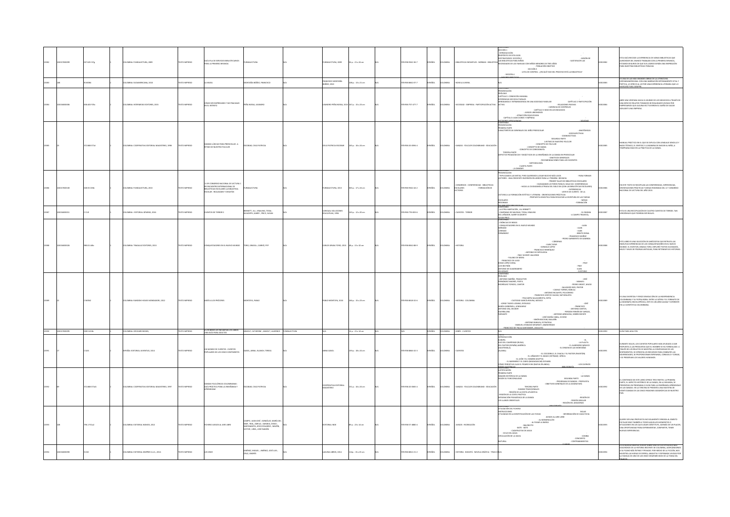|       | thomps       | 27.625 IS7g | DLOMBIA: FUNDALECTURA, 2009                 | OZERNI OTXI        | A IFLA DE SERVICIOS BIBLIOTECARIOS<br>A LA PRIMERA INFANCIA                                                                                  | <b>ALECTURA</b>                                                                                                                                                                                | NDALECTURA, 2009                          | $56a : 21 \times 24$ cm | 78-958-9342-36-7 | <b>PAÑOL</b> | <b>AIGMOJO</b>  |                                                                                | $\begin{array}{c} \textbf{MISION DE} \\ \textbf{- SASTISIACER LAS} \end{array}$<br>BOADES DE LAS FAMILIAS CON NIÑOS MENORES DE TRES AÑOS<br>- POSLACIÓN OBJETIVO<br>$-$ seconds $3$<br>- LISTA DE CONTROL : ¿EN QUÉ FASE DEL PROCESO ESTÁ LA BIBLIOTECA?<br>$-$ secondru 4                                                                                                                                                                                                                                                                                                                                                                                                                                                                                                                                                                   | 013382      | STA GUÍA RECOGE LA EXPERIENCIA DE VARIAS BIBLIOTECAS QUE<br>ALREDEDOR DEL MUNDO TRABAJAN CON LA PRIMERA INFANCIA,<br>ESTAMOS SEGUROS DE QUE SUS LOGROS SERÁN UNA INSPIRACIÓN<br>ARA NUESTRAS BIBLIOTECAS PÚBLICAS.                                                                                                       |
|-------|--------------|-------------|---------------------------------------------|--------------------|----------------------------------------------------------------------------------------------------------------------------------------------|------------------------------------------------------------------------------------------------------------------------------------------------------------------------------------------------|-------------------------------------------|-------------------------|------------------|--------------|-----------------|--------------------------------------------------------------------------------|----------------------------------------------------------------------------------------------------------------------------------------------------------------------------------------------------------------------------------------------------------------------------------------------------------------------------------------------------------------------------------------------------------------------------------------------------------------------------------------------------------------------------------------------------------------------------------------------------------------------------------------------------------------------------------------------------------------------------------------------------------------------------------------------------------------------------------------------|-------------|--------------------------------------------------------------------------------------------------------------------------------------------------------------------------------------------------------------------------------------------------------------------------------------------------------------------------|
|       |              | <b>MON4</b> | LOMBA: SUDAMERICANA, 2010                   | TO IMPRESO         | <b>MUDA</b>                                                                                                                                  | ONTAÑA IBÁÑEZ, FRANCISCO                                                                                                                                                                       | <b>NCISCO MONTAÑA</b><br><b>SEZ, 2010</b> | ilip.: 13 x 21 cm       | 8-958-8662-07-7  | AÑOL         | <b>AIGMOJ</b>   | <b>NOVELA JUVENIE</b>                                                          |                                                                                                                                                                                                                                                                                                                                                                                                                                                                                                                                                                                                                                                                                                                                                                                                                                              | <b>LISS</b> | S UNA DE LAS MÁS GRANDES OBRAS DE LA LITERATURA<br>HISPANDAMERICANA, CON UNA NARRACIÓN INTENSAMENTE VITAL Y<br>POÉTICA, LE OFRECE AL LECTOR UNA EXPERIENCIA LITERARIA QUE LO                                                                                                                                             |
|       |              | 58.403 P25c | LOMBA: INTERMEDIO EDITORES, 2015            | DZERRINI OTXIT     | MO SER EMPRESARIO Y NO FRACASAR<br>EL INTENTO                                                                                                | EÑA NOSSA, LISANDRO                                                                                                                                                                            | DRO PEÑA NOSSA, 2015 167 p. : 15 x 23 cm  |                         | 78-958-757-477-7 | PAÑOL        | <b>CLOMBIA</b>  | OCIEDAD - EMPRESA - PARTICIPACIÓN ACTIVA                                       | SENTACIÓN<br>LOGO<br>PÍTULO 1 CONDICIÓN HUMANA<br>ERENCIAS SOCIOCULTURALES<br>CAPÍTULO 2 PARTICIPACIÓN<br>GANCIA E INTRANSIGENCIA EN UNA SOCIEDAD FAMILIAR<br>CAPITULO 2 P.<br>- SELACIONES PASSIVAS - SELACIONES PASSIVAS -<br>- CARENCIA DE CONTROLES<br>CTIVA<br>CAPITULO 3<br>- JUEGOS LIBIORIOSOS -<br>- ATRACCIÓN EQUIVOCADA<br>- CAPÍTULO 4 ADICCIONES Y EMPRESA                                                                                                                                                                                                                                                                                                                                                                                                                                                                      |             | aarcará para siempre.<br>ARE UNA VENTANA HACIA EL MUNDO DE LOS NEGOCIOS A TRAVÉS DE<br>UNA SERIE DE RELATOS TOMADOS DE REALIDADES VIVIDAS POR<br>EMPRESARIOS QUE ALGUNA VEZ TUVIERON EL SUEÑO DE SACAR<br>ADELANTE UNA EMPRESA.                                                                                          |
|       |              | 2.868 1714  |                                             | <b>IMPRESO</b>     | LÚDICAS PARA PREESCOLAR : A<br>ITMO DE NUESTRO FOLCLOR                                                                                       | man ciri                                                                                                                                                                                       |                                           | .<br>5 p. : 16 x 24 cm  | 1958-20-0394-    |              |                 |                                                                                | TENIDO<br>ENTACIÓN<br>RA PARTE<br>TERÍSTICAS GENERALES DEL NIÑO PREESCOLAR<br>ANATÓMICAS<br>TIVAS<br>$\begin{tabular}{cccc} \multicolumn{2}{c}{\textbf{0.0000.}} \multicolumn{2}{c}{\textbf{0.0000.}} \multicolumn{2}{c}{\textbf{0.0000.}} \multicolumn{2}{c}{\textbf{0.0000.}} \multicolumn{2}{c}{\textbf{0.0000.}} \multicolumn{2}{c}{\textbf{0.0000.}} \multicolumn{2}{c}{\textbf{0.0000.}} \multicolumn{2}{c}{\textbf{0.0000.}} \multicolumn{2}{c}{\textbf{0.0000.}} \multicolumn{2}{c}{\textbf{0.0000.}} \mult$<br>TENTES PARTY<br>.<br>TOS PEDAGÓGICOS Y DIDÁCTICOS DE LA ENSEÑANZA DE LA DANZA EN PREESCOLAR<br>- OBJETIVOS GENERALES<br>- RECOMENDACIONES PARA LOS DOCENTES<br>$\begin{array}{c} \cdot \text{MetIOOLOGIA}\\ \text{CUAATA PARTE} \end{array}$<br>- IA DANZARI                                                         |             | NUAL PRÁCTICO EN EL QUE SE EXPLICA CON LENGUAJE SENGILLO Y<br>NADA TÉCNICO, EL SENTIDO Y LA MANERA DE INICIAR AL NIÑO, A<br>TEMPRANA EDAD EN LA PRÁCTICA DE LA DANZA.                                                                                                                                                    |
|       | 7000100      | 8.55 C65b   | LOMBA: FUNDALECTURA, 2013                   | EXTO IMPRESO       | ER CONGRESO NACIONAL DE LECTURA :<br>ER ENCUENTRO INTERNACIONAL DE<br>BIBLIOTECAS ESCOLARES LA BIBLIOTECA<br>ESCOLAR : REALIDADES Y DESAFÍOS | ALECTURA                                                                                                                                                                                       | NDALECTURA, 2013                          | 365 p.: 17 x 24 cm      | 78-958-9342-44-2 | <b>PAÑOL</b> | AIGMOJO         | ONGRESOS - CONFERENCIAS - BIBLIOTECAS<br>SCOLARES<br>ECTORES<br>- FORMACIÓN DE | PRESENTACIÓN<br>- TRIPLICAMOS LAS METAS, PERO QUEREMOS LLEGAR MUCHO MÁS LEIOS<br>- PARA FORMAR<br>CTORES : UNA CRECIENTE INVERSIÓN EN LIBROS PARA LA PRIMERA INFANCIA<br>PRIMER TALLER DE BIBLIOTECAS ESCOLARES -<br>- CIUDADANOS LECTORES PARA EL SIGLO XXI CONFERENCIAS<br>- HACIA LA CIUDADANÍA LETRADA DEL SIGLO XXI (CON LAS BIBLIOTECAS ESCOLARES)<br>- EXPERIENCIAS<br>LEER ES MI CUENTO : DE LA<br>LIER ES MI CUENTO : DE LA .<br>ECTURA A LA FORMACIÓN ESTÉTICA Y LITERARIA - ORIENTACIONES PRÁCTICAS<br>PROPUESTA DIDÁCTICA PARA RESCATAR LA ESCRITURA DE LAS TARIAS -<br>COLARES<br>$-$ MESAS<br>$-$ FORMACIÓN<br>NDAS<br><b>CARLO VITE</b>                                                                                                                                                                                       |             | EN ESTE TEXTO SE RECOPILAN LAS CONFERENCIAS, EXPERIENCIAS,                                                                                                                                                                                                                                                               |
|       |              |             | MBA : EDITORIAL GÉMINIS, 2016               | XTO IMPRESO        | <b>TOS DE TERROR 2</b>                                                                                                                       | IENNETT, JILL ; KRAILING, TESSA ;<br>ILWORTH, GARRY ; PRICE, SUSAN                                                                                                                             | IVAJAL SOLUCIONES<br>ICATIVAS, 1996       | .<br>1 p. : 12 x 20 cm  | 18-958-776-833-6 |              | <b>OMBIA</b>    | UENTOS - TERROR                                                                | LOWIENIUO<br>- LA OTRA HABITACIÓN , JILL BENNETT<br>- CAMPANAS DE NAVIDAD, TESSA, KRAILING<br>DEL LEÑADOR, GARRY KLWORTH<br>$\begin{array}{c} \cdot \text{ E. ENIGMA} \\ \cdot \text{ A CAMPO TRAVIISA}, \end{array}$                                                                                                                                                                                                                                                                                                                                                                                                                                                                                                                                                                                                                        |             | STA ES UNA RECOPILACIÓN DE CUATRO CUENTOS DE TERROR, TAN<br>EROSÍMILES QUE PODRÍAN SER REALES.                                                                                                                                                                                                                           |
|       |              |             | <b>DMBIA: TRAGALUZ EDIT</b><br>DRES, 2013   |                    | TADORES EN EL NUEVO MUNDO                                                                                                                    | TORO, GRASSA ; CARRIÓ, PE                                                                                                                                                                      | LOS GRASA TORO, 2013                      | 48 p. : 15 x 12 cm      | 15.038.8562.88-9 |              |                 |                                                                                | USAN PRICE<br>ONTENIDO<br>CRÓNICAS DE INDIAS<br>CRUIRDO DE INDIAS<br>CONQUISTADORES EN EL NUEVO MUNDO<br>$-RLAM$<br>RANO<br>${\begin{array}{l} .\text{ IJAN} \\ .\text{ IIAN} \end{array}}$ - RIANTO ROSAL - RENITO ROSAL - RENITO ROSAL -<br>.<br>Corenzo<br>Fernández<br>PEDRO SARMIENTO DE GAMBOA<br>$\begin{minipage}{0.9\linewidth} \begin{tabular}{c} \multicolumn{2}{c}{\textbf{0.0000}} \multicolumn{2}{c}{\textbf{0.0000}} \multicolumn{2}{c}{\textbf{0.0000}} \multicolumn{2}{c}{\textbf{0.0000}} \multicolumn{2}{c}{\textbf{0.0000}} \multicolumn{2}{c}{\textbf{0.0000}} \multicolumn{2}{c}{\textbf{0.0000}} \multicolumn{2}{c}{\textbf{0.0000}} \multicolumn{2}{c}{\textbf{0.0000}} \multicolumn{2}{c}{\textbf{0.0000$<br>$\begin{array}{c} \cdot \\ \cdot \\ \cdot \\ \cdot \\ \cdot \\ \cdot \\ \cdot \\ \cdot \\ \end{array}$ |             | ESTE UBRO ES UNA SELECCIÓN DE ANÉCDOTAS QUE RETRATA LAS<br>1950/LITAS EXPERIENCIAS DE LOS CONQUISTADORES EN EL NUEVO<br>MUNDO: EL ESCRITOR, GRASSA TORO, EXPLORÓ TEXTOS OLVIDADOS,<br>MILES Y MILES DE PÁGINAS ANTIGUAS, PARA RETOMAR S                                                                                  |
|       |              |             | MISA: RANDOM HOUSE MONDADORI, 2012          | KTO IMPRESO        | MÓS A LOS PRÓCERE                                                                                                                            |                                                                                                                                                                                                | BLO MONTOYA, 2010                         | 56 p. : 15 x 23 cm      | 18-938-8618-32-6 |              |                 | STORIA - COLO                                                                  | RÓLOGO<br>ANTONIO NARIÑO, TRADUCTOR<br>$\begin{minipage}{0.9\textwidth} \begin{tabular}{cc} \multicolumn{2}{c}{\textbf{0.1.5}} \multicolumn{2}{c}{\textbf{0.1.5}} \multicolumn{2}{c}{\textbf{0.1.5}} \multicolumn{2}{c}{\textbf{0.1.5}} \multicolumn{2}{c}{\textbf{0.1.5}} \multicolumn{2}{c}{\textbf{0.1.5}} \multicolumn{2}{c}{\textbf{0.1.5}} \multicolumn{2}{c}{\textbf{0.1.5}} \multicolumn{2}{c}{\textbf{0.1.5}} \multicolumn{2}{c}{\textbf{0.1.5}} \multicolumn{2}{c$<br>- 1052<br>- FRANCISCO<br>- ANTONI FAMIN DE VARIGAS,<br>- ANTONIO ARBOLEDA, SOBREVIVIENTE<br>- JOSÉ MARÍA CABAL, OCIOSO<br>- SIMÓN BOLÍVAR, BAILARÍN<br>- ANTONIO BARAYA, ESTRATEGA<br>- MANUEL ATANASIO GIRARDOT, ABANDERADO<br>- FRANCISCO DE PAULA SANTANDER, LEGULEYO                                                                                     |             | A DIVERTIDA Y FERGE DEMOLICIÓN DE LA INDEPEN<br>ES UNA UNERTIIGA T FERGE DEMOCICION DE LA INDISFENDENCIA<br>COLOMBIANA Y SU PATRIA BOBA, ESTE ES UN UBRO AUDAZ Y ESPERA<br>LA BIOGRAFÍA ENCICLOPÉDICA, ESTE ES UN UBRO AUDAZ Y ENFER<br>EN LA CUENTÍSTICA COLOMBIANA.                                                    |
| 13350 | 102017000095 | 028.5 AS3b  | COLOMBIA: ORDHARD BOOKS,                    | OZERRA OTXIT       | LOS BEBÉS LES ENCANTAN LOS LIBROS<br>UNA GUÍA PARA ADULTOS                                                                                   | ANHOLT, CATHERINE ; ANHOLT, LAURENCE FUNDALECTURA                                                                                                                                              |                                           | 14 p. : 21 x 14 cm      |                  |              | SPAÑOL COLOMBIA | stats - cutwros                                                                | N/A                                                                                                                                                                                                                                                                                                                                                                                                                                                                                                                                                                                                                                                                                                                                                                                                                                          | 00013350    | GUÍA PARA ADULTOS.                                                                                                                                                                                                                                                                                                       |
|       |              |             | PAÑA: EDITORIAL JUVENTUD, 2014              | XTO IMPRESO        | IUNDO DE CUENTOS : CUENTOS<br>FULARES DE LOS CINCO CONTINENTES                                                                               | SASOL, ANNA ; BLANCH, TERESA                                                                                                                                                                   | NA GASOL                                  | 159 p. : 18 x 24 cm     | 78-958-8846-32-3 | <b>AÑOL</b>  | <b>MBIA</b>     |                                                                                | <b>NÓLOUGO</b><br><b>ROPA</b><br>LUMOTO<br>BILO DEL CAMPESINO (RUSIA)<br>(GUATEMALA)<br>(ALASKA)<br>(ALASKA)<br>LA FLAUTA :<br>EL ALMENDRO MÁGICO :<br>EL ORIGEN DE LAS MONTAÑAS<br>- EL COCCORILO, IL CHOCHI Y EL PASTOR (PAKSTÁN)<br>- EL LEÓN V EL HOMBBE (EGIPTO)<br>- EL MARIEDO V EL CONVENIDE (REIPTO)<br>- EL MARIEDO SUGA DA MARIA (MUNICA ZELANDA)<br>- LOS CUER<br>- LOS CUERVOS                                                                                                                                                                                                                                                                                                                                                                                                                                                  |             | DURANTE SIGLOS, LOS CUENTOS POPULARES HAN AYUDADO A DAR<br>RESPUESTA A LAS PREDUNTAS QUE EL HOMBRE SE HA FORMULADO. A<br>TRAVÉS DE LOS RELATOS SE MUESTRA LA COMPLEHDAD DE LOS<br>SENTIMENTOS, SE PORDOROGNAN ESPERANZA, CONSINTE LAS<br>A                                                                               |
|       |              | 2.868 17161 | MBA: COOPERATIVA EDITORIAL MAGISTERIO, 2997 | <b>CTO IMPRESO</b> | GUÍA PRÁCTICA PARA LA ENSEÑANZA Y<br>APRENDIZAJE                                                                                             | CBAR, CILO PATRICI                                                                                                                                                                             |                                           | 151 p. : 16 x 24 cm     | 18-958-20-0385-4 |              |                 |                                                                                | TIFICACIÓN<br>MERA PARTE<br>IMAGEN HISTÓRICA DE LA DANZA<br>SEGÚN SU FUNCIONALIDAD<br>LA DANZA :<br>SEGUNDA PARTE<br>PROGRAMA DE DANZAS - PROFESTA -<br>OBJETIVOS GENERALES DE LA ASIGNATURA -<br>TERCERA PARTE<br>DANZAS TRADICIONALES -<br>REGIÓN DE LA COSTA PACÍFICA<br>REGIÓN PEDAGÓGICA DE LA DANZA<br>$-$ REGIÓN DE<br>LLANOS ORIENTALES<br>- REGIÓN INSULAR<br>- REGIÓN DEL AMAZONAS                                                                                                                                                                                                                                                                                                                                                                                                                                                 |             | EL CONTENIDO DE ESTE LIBRO OFRECE TRES PARTES: LA PRIMERIA<br>PARTE, EL ASPECTO HISTÓRICO DE LA DANZA, EN LA SEGUNDA, SE<br>PRISENTAN UN PROGRAMA O GUÍA PAPA LA ENSEÑARZA APRENDIZA<br>DE LAS DANZAS. EN LA TERCERA SE PRESENTA UNA MU                                                                                  |
|       |              | 96.1 731a2  | MBA: EDITORIAL NOMOS, 2012                  | OZERNI OTXI        | THERE JUEGOS AL ARE LIBRE                                                                                                                    | <b>DO HIAN IDOF-GONZÁLEZ MARÍA D</b><br>LAMPO, JUAN JUSE   GUNZALEZ, MARIA UR<br>MAR ; REAL, AMELIA ; SARABIA, DIEGO ;<br>SANTAMARTA, JESÚS EDUARDO ; MAZÓN,<br><b>ACTOR: URIEL JOSÉ RAMÓN</b> | TORIAL INDE                               | 89 p. : 23 x 14 cm      | 75-958-57-4880-4 | <b>PAÑOL</b> | <b>AIGMOJ</b>   | UEGOS - RECREACIÓN                                                             | IN HIMINA<br>TEIZACIÓN DEL FICHERO<br>STRUCCIONES<br>TEIZADAS EN LA IDENTIFIC<br>ADÓN DE LAS FICHAS<br>JU:<br>- AL MONDIU-<br>- BAL PASAR LA BARCA<br>- BOTE - BOTE<br>- PELOTAF ? "-<br>- CAZAPELOTAS DE AGUA<br>- CICLO DEL AGUA<br><b>ROJLACIÓN DE LA SAVIA</b><br>- COMBA<br>- CONCIERTO<br>- CONTRABANDISTAS<br><b>JARURAL</b>                                                                                                                                                                                                                                                                                                                                                                                                                                                                                                          |             | JERE SER UNA PROPUESTA NO SOLAMENTE DIRIGIDA AL ÁMBITO<br>SCOLAR SINO TAMBIÉN A TODOS AQUELLOS MOMENTOS O<br>.<br>ITUACIONES EN LOS QUE JUGAR CONSTITUYE, ADEMÁS DE UN PLACER.<br>INA OPORTUNIDAD PARA EXPERIMENTAR, COMPARTIR, TENER<br>UEVAS EXPERIENCIAS.                                                             |
|       |              |             | LOMBIA: EDITORIAL KIMPRES S.A.S., 2014      | OZERNI OTXI        | <b>SONCE</b>                                                                                                                                 | AMÉNEZ, MIGUEL ; AMÉNEZ, AOSÉ LUIS ;<br>CRUZ, ANDRÉS                                                                                                                                           | GUNA LIBROS, 2014                         | 14p.: 15 x 23 cm        | 78-958-8812-21-2 | MAGE.        | <b>AIGMOJO</b>  | HISTORIA - BOGOTÁ - NOVELA GRÁFICA - TIRAS CIR/A                               |                                                                                                                                                                                                                                                                                                                                                                                                                                                                                                                                                                                                                                                                                                                                                                                                                                              |             | ESTA NOVELA GRÁFICA VUELVE SOBRE UNO DE LOS EPISODIOS MÁS<br>DOLOROSOS DE LA HISTORIA RECENITE DE COLOMBIA, ACERCÁNDONOS<br>A SU PLANO MÁS ÍNTRAO Y PRIVADO. POR MEDIO DE LA RICCIÓN, NOS<br>MUESTRA LAS HORAS DE ESPERA, ANGUSTIA Y ESPERARZA VIVIDAS POR<br>LA FAMILIA DE UNO DE LOS ONCE DESAPARE<br><b>ACID ACID</b> |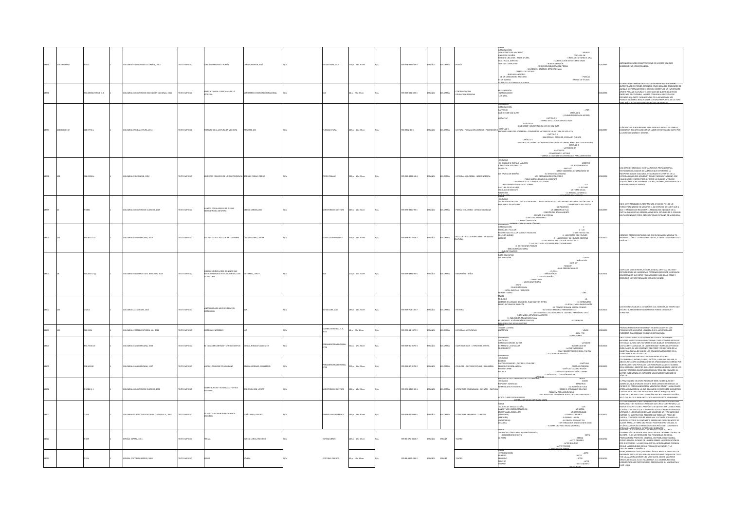|  |                     | LOMBA: VICENS VIVES COLOMBIA., 2015            | OZERNI OTXI        | TONO MACHADO POESÍA                                                            | ARLOS MAINER, JOSÉ             | VICENS VIVES, 2015       | 114 p. : 13 x 20 cm     | 0.03-153-8522     | <b>PAÑOL</b>                             | OLOMBIA        | OESÍA                                              | RODUCCIÓN<br>UN RETRATO DE MACHADO<br>- VIDA DE -<br>CÍRCULOS EN<br>UN POETA ESPAÑOL<br>TORNO A UNA VIDA : HACIA AFUERA<br>- CÍRCULOS EN TORNO A UNA<br>- LA EVOLUCIÓN DE UN LIBRO : UNAS<br>$\begin{minipage}{0.09\textwidth} \begin{tabular}{c} \multicolumn{2}{c}{\textbf{0.09\textwidth} \begin{tabular}{c} \textbf{0.09\textwidth} \begin{tabular}{c} \textbf{0.09\textwidth} \begin{tabular}{c} \textbf{0.09\textwidth} \begin{tabular}{c} \textbf{0.09\textwidth} \begin{tabular}{c} \textbf{0.09\textwidth} \begin{tabular}{c} \textbf{0.09\textwidth} \begin{tabular}{c} \textbf{0.09\textwidth} \begin{tabular}{c} \textbf{0.09\textwidth} \begin{tabular}{c} \textbf{0.09$<br>- POESÍAS<br>INDICE DE TÍTULOS                                                                                                                                                 |        | IONIO MACHADO CONSTITUYE UNO DE LOS MAS VALIOSOS<br>ADOS DE LA LÍRICA ESPAÑOLA.                                                                                                                                                                                                                                                                                                                                                                                         |
|--|---------------------|------------------------------------------------|--------------------|--------------------------------------------------------------------------------|--------------------------------|--------------------------|-------------------------|-------------------|------------------------------------------|----------------|----------------------------------------------------|-------------------------------------------------------------------------------------------------------------------------------------------------------------------------------------------------------------------------------------------------------------------------------------------------------------------------------------------------------------------------------------------------------------------------------------------------------------------------------------------------------------------------------------------------------------------------------------------------------------------------------------------------------------------------------------------------------------------------------------------------------------------------------------------------------------------------------------------------------------------------|--------|-------------------------------------------------------------------------------------------------------------------------------------------------------------------------------------------------------------------------------------------------------------------------------------------------------------------------------------------------------------------------------------------------------------------------------------------------------------------------|
|  | 1.829861 MS34k tj.2 | MBA: MINSTERIO DE EDUCACIÓN NACIONAL, 2015     | TO IMPRESO         | ALCO AMA A JUAN TAMA DE LA<br>RELLA                                            | STERIO DE EDUCACIÓN NACIONA    |                          | p.: 22 x 22 cm          | 8-958-691-609-1   | SOL.                                     | <b>XOMBIA</b>  | ITNOEDUCACIÓN<br>IDUCACIÓN INDÍGENA                | IESENTACIÓN<br>VTRODUCCIÓN<br>OS NASA                                                                                                                                                                                                                                                                                                                                                                                                                                                                                                                                                                                                                                                                                                                                                                                                                                   |        | LIBRO JUAN TAMA DE LA ESTRELLA: ESCRITO E ILUSTRADO POR<br>.<br>TAVO ADOLFO YONDA CANENCIO, JOVEN NASA DEL RESGUARDO DE<br>IALÓ (DEPARTAMENTO DEL CAUCA), CONSTITUYE UN IMPORTANTE<br>PORTE PARA LA CULTURA Y EL QUEHACER DE NUESTROS JÓVENES<br>DÍGERAS DE COLOMBIA, LA OBRA CONUGA LA NECESIDAD DE<br>FUNDIR UNA PARTE FUNDAMENTAL DE LA MEMORIA DE LOS<br>RELOS INDÍGENAS NASA Y MESAK CON UNA PROPUESTA DE LECTURA<br>REL MI                                        |
|  | 18.9 T72m           | LOMBA: FUNDALECTURA, 2014                      | OZERNI OTXI        | NUAL DE LA LECTURA EN VOZ ALTA                                                 | RELEASE, JIM                   | <b>DALECTURA</b>         | 123 p.: 16 x 23 cm      | 58-9342-20-5      | MÁCL.                                    | AIGMOJO        | ECTURA - FORMACIÓN LECTORA - PROMOCIÓN             | ntenido<br>RODUCCIÓN<br>VPÍTULO 1<br>UÉ LEER EN VOZ ALTA)<br>ROR3 -<br>POR )<br>CAPÍTULO 2<br>CUÁNDO EMPEZAR A LEER EN (<br>SATA?<br>CLUMNUU EN .<br>CAPÍTULO 3<br>ETAPAS DE LA LECTURA EN VOZ ALTA<br>CAPÍTULO 4<br>- QUÉ HACER Y QUÉ EVITAR AL LEER EN VOZ ALTA<br><b>PITULO 5</b><br>NIDA : COMPAÑERA NATURAL DE LA LECTURA EN VOZ ALTA<br>TURA SILENCIOSA SOST<br>CAPÍTULO 6<br>- BIBLIOTECAS : FAMILIAR, ESCOLAR Y PÚBLICA<br>CAPÍTULO 7<br>CAPTULO 7<br>- ALGUANAS LUCCORAES QUE PODEMAS APRIENDER DE OPRAN, HARRYLOS<br>- ALGUANAS LUCCORAES QUE PODEMAS AR ISLA DE OS CODENOS<br>- CÓMO LUCA - ALGUANAS LUCCHARDO -<br>- CÓMO LUCA EL ARADIA NECORAENDADES PARA LUER EN VOIS                                                                                                                                                                                    | 011107 | ÍA SENCILLA E INSPIRADORA PARA APOYAR A PADRES DE FAMILIA,<br>DOCENTES Y BIBLIOTECARIOS EN LA LABOR DE MOTIVAR EL GUSTO POR<br>LA LECTURA EN NIÑOS Y JÓVENES.                                                                                                                                                                                                                                                                                                           |
|  | 16.03 B12c          | MBA: EDICIONES B, 2012                         | XTO IMPRESO        | <b>SNICAS Y RELATOS DE LA INDEPENDENCIA</b>                                    | ADRÁN PADAUÍ, PEDRO            | <b>CRO PADAU</b>         | 228 p. : 12 x 23 cm     | 78-958-8294-54-4  | <b>PAÑOL</b>                             | <b>AIGMOJO</b> |                                                    | PRÓLOGO<br>EL DÍA QUE SE INSTALÓ LA JUNTA<br>ARRESTO<br>PRSIÓN DE LOS VIRREYES<br>- LA INDEPENDENCIA<br>- SANTAFÉ<br>- JESÚS NAZARENO, GENERALÍSIMO DE<br>AL.<br>ONTIGAT<br>-<br>LA TOMA DE LAS<br>- LA BATALLA CONTRA LA                                                                                                                                                                                                                                                                                                                                                                                                                                                                                                                                                                                                                                               |        | UNA SERIE DE CRÓNICAS, ESCRITAS POR SUS PROTAGONISTAS<br>WA SIME UE COMINIAR, SCAURA VIRON XAS PRODUINING INA.<br>ESTIGICS PRIVILEGIAISCS DE LA ÉPOCA QUE DETERMINÓ LA<br>ESTIGICS PRIVILEGIAISCS DE LA ÉPOCA QUE DETERMINÓ LA<br>ESTORIA COMO JOSÉ ACEVIDO Y GÓMEZ, MANUELLTA SÁDEZ, JOSÉ<br>ELIMO                                                                                                                                                                     |
|  |                     | COMBA: MINISTERIO DE CULTURA, 2009             | OZERNI OTXI        | OS POPULARES DE MI TIERRA<br>UNDINO EL ZAPATERI                                | <b>ESO, CANDELARIO</b>         | NSTERIO DE CULTURA       | 49 p. : 14 x 21 cm      | 178-958-8250-99-1 | <b>PAÑOL</b>                             | <b>AIGNOJO</b> | POESÍA - COLOMBIA - AFROCOLOMBIANA                 | HE CALIFORNIA<br>FRONT COMPANY PROTECTIVAL DE CANDILIARIO OBESO : ENTRE EL RECONOCIMIENTO Y LA EXOTIZACIÓN CANTOS<br>LA ACTIVIDAD INTELECTUAL DE CANDILIARIO OBESO : ENTRE EL RECONOCIMIENTO Y LA EXOTIZACIÓN CANTOS<br><b>VEHICAS INTERESTS</b><br>$\begin{minipage}{0.03\textwidth} \begin{tabular}{l} \multicolumn{2}{l} \multicolumn{2}{l} \multicolumn{2}{l} \multicolumn{2}{l} \multicolumn{2}{l} \multicolumn{2}{l} \multicolumn{2}{l} \multicolumn{2}{l} \multicolumn{2}{l} \multicolumn{2}{l} \multicolumn{2}{l} \multicolumn{2}{l} \multicolumn{2}{l} \multicolumn{2}{l} \multicolumn{2}{l} \multicolumn{2}{l} \multicolumn{2}{l} \multicolumn{2}{l} \multicolumn{2}{l} \multicolumn{2}{l} \multicolumn{2}{l} \multicolumn{2}{l$<br>- CUENTO A MI ESPOSA<br>- CUENTO A MI ESPOSA<br>- CANTO DEL MONTARAZ<br>- EL BOGA CHARLATÁN<br>EXPERIENCIÓN DE UNOS CÓDIC |        | .<br>En él se ve reflejado el sentimiento a flor de piel de un<br>INTELECTUAL NACIDO EN MOMPOX EL 12 DE ENERO DE 1849 Y QUE A<br>SUS 17 AÑOS DECIDE RECORRER EL MAGDALENA EN BUSCA DE LA<br>APITAL PARA INICIAR, GRACIAS A UNA BECA, ESTUDIOS EN EL COLEGIO<br>TAR FUNDADO POR EL GENERAL TOMÁS CIPRIANO DE MOSQUERA.                                                                                                                                                   |
|  | 10.051.011          | LOMBA: PANAMERICANA, 2012                      | OZERNI OTX         | S FIESTAS Y EL FOLCLOR EN COLOMBIA                                             | CAMPO LOPEZ, JAVIER            | AVIER OCAMPO LÓPEZ       | 73 p.: 13 x 20 cm       | 178-958-30-2243-2 | PAÑOL                                    | <b>AIGNOJO</b> | FOLCLOR - FIESTAS POPULARES - IDENTIDAD<br>JETURAL | UNTENEO<br>VTRODUCCIÓN<br>EORÍA DEL FOLCLOR<br>ESTAS EN EL FOLCLOR SOCIAL Y RELIGIOSO<br>LCLOR ANDINO<br>7 - LAS FIESTAS DE LOS INDÍGENAS COLOMBIANOS<br><b>8- REFLEXIONES FINALES</b><br>BELIOGRAFÍA GENERAL<br>corrected to com-                                                                                                                                                                                                                                                                                                                                                                                                                                                                                                                                                                                                                                      | 013400 | MPLOS REPRESENTATIVOS DE LO QUE ÉL MISMO DENOMINA "EL<br>MAPA FOLCLÓRICO" DE NUESTRAS FIESTAS, Y EN UN ESTILO SENCILLO Y<br>DIDÁCTICO.                                                                                                                                                                                                                                                                                                                                  |
|  | 1009 G71g           | MBIA: LOS LIBROS DE EL NACIONAL, 2014          | CTO IMPRESO        | randes niños vidas de niños que<br>Jeron famosos y dejaron huella en<br>STORIA | RREZ, LERI                     |                          | 102 p. : 15 x 21 cm     | 78-958-8841-91-5  | <b>PAÑOL</b>                             | <b>OLOMBIA</b> | OGRAFÍAS - NIÑO                                    | FOTA DEL EDITOR<br><b>CANCAMON</b><br>$\begin{array}{c} \text{CAVID} \\ \text{MNID} \\ \text{LUIS NIV} \end{array}$<br>$\begin{minipage}{0.9\linewidth} \begin{tabular}{r c c } \hline \multicolumn{3}{r}{\textbf{W. U.S.}} \hline \multicolumn{3}{r}{\textbf{W. U.S.}} \hline \multicolumn{3}{r}{\textbf{W. U.S.}} \hline \multicolumn{3}{r}{\textbf{W. U.S.}} \hline \multicolumn{3}{r}{\textbf{W. U.S.}} \hline \multicolumn{3}{r}{\textbf{W. U.S.}} \hline \multicolumn{3}{r}{\textbf{W. U.S.}} \hline \multicolumn{3}{r}{\textbf{W. U.S.}} \hline \multicolumn{3}{r}{\textbf{W.$<br>W.D.<br>WINDOWS MENUHIN<br>- LUCÍA, JADNTA Y FRANCISCO<br>LEY TEMPLE<br>- ANA                                                                                                                                                                                                  |        | UENTA LA VIDA DE REYES, HÉRDES, GENICIS, ARTISTAS, ATLETAS Y<br>EFENSORES DE LA HUMANIGAD, PERSORAS QUE DISDE SU INFANCIA<br>EMOSTRARON SUS DOTES Y CAPACIDADES PARA IDEAR, CREAR Y<br>ESCUBRIR NUEVAS FORMAS DE MIRAR EL MUNDO.                                                                                                                                                                                                                                        |
|  |                     | COMBIA: ALFAGUARA, 2012                        | OZERNI OTXI        | <b>LOGÍA LOS MEJORES RELATOS</b><br>STÓRICOS                                   |                                | PAGUARA, 2004            | 189 p. : 13 x 21 cm     | 178-958-704-126-2 | MAGE.                                    | <b>AIGMOJO</b> | <b>ISTORIA</b>                                     | OLD<br>OLDGO<br>YENDA DEL LEGADO DEL MORO, WASHINGTON IRVING<br>now<br>- LA ROSA, EMILIA PARDO BAZÁN<br>- EL PRINCIPE ROMÁN, JOSEPH CONRAD<br>- EL SITIO DE KREMINA, HERMANN HESSE<br>- LA VERDAD DEL CASO DE ISCARIOTE, ALFONSO HERMÁNDEZ CATÁ<br>EL ENEMIGO. ARTURO USLAR PIETRI<br>EL INQUISIDOR, FRANCISCO AYALA<br>RGENTO, JESÚS FERNÁNDEZ SANTOS<br>REFERENCIAS                                                                                                                                                                                                                                                                                                                                                                                                                                                                                                   | 013402 | OS CUENTOS HABLAN AL CORAZÓN Y A LA FANTASÍA. AL TIEMPO QUE<br>RECONSTRUYEN AMBIENTES LEJANOS DE FORMA DINÁMICA Y<br><b>BACTIVA</b>                                                                                                                                                                                                                                                                                                                                     |
|  |                     | MBA: COMBEL EDITORIAL S.A., 2012               | TO IMPRESO         | <b>MAS INCREBLES</b>                                                           |                                | OMBEL EDITORIAL S.A.,    | $p.$ : 22 x 30 cm       | 8-958-14-1377-5   | io.                                      | MBIA           | .<br>TORIAS - AVENTURAS                            | ASTA LA CHINA<br>$\cdot$ VOLAR - KON - TIKI<br>tártida                                                                                                                                                                                                                                                                                                                                                                                                                                                                                                                                                                                                                                                                                                                                                                                                                  |        | AGONIZADAS POR HOMBRES Y MUJERES VALIENTES QUE<br>SUIERON UN SUEÑO, UNA IDEA QUE A LA MAYORÍA LES<br>IERÍA INALCANZABLE E INCLUSO DISPARATADA.                                                                                                                                                                                                                                                                                                                          |
|  | 1.73 0613           | MBIA: PANAMERICANA, 2003                       | CO IMPRESO         | GAR ENCANTADO Y OTROS CUENTOS                                                  | .<br>DGOL, NIKOLAI VASILIEVIEH |                          | 20 p. : 17 x 24 cm      | 8-958-30-0675-3   | AÑDL                                     | <b>COMBIA</b>  | ENTOS RUSOS - LITERATURA JUVEN                     | RÓLOGO<br>RÓLOGO<br>MAYO O LA AHOGADA<br>ROCHINETZ<br>LA NOCHE<br>- EL MERCADO DE<br>- LA CARTA PERDIDA<br>JOORCVICH SHRONKA Y SU TÍA<br>DO<br><b>IN EN EX</b><br>GAR ENCANTADO                                                                                                                                                                                                                                                                                                                                                                                                                                                                                                                                                                                                                                                                                         |        | PARENTAIN MALCAREALE INCLUDE DESPARATION.<br>THE TANK AND CONSIDER THE LAND CONSIDERATION CONTINUES INTO A TAXA AND CONSIDER THE CONSIDERATION CONSIDERED A<br>ETH GRAN ANTION, CONSIDERING ALS USES CARDS INFORMATION, DE<br>THE GRAN                                                                                                                                                                                                                                  |
|  | 101104.00           | OMBIA: PANAMERICANA, 1997                      | OZERNI OTXI        | AEC DEL FOLKLORE COLOMBIANO                                                    | ABADÍA MORALES, GUILLERMO      | AMERICANA EDITORIAL      | 05 p.: 16 x 23 cm       | 78-958-30-0178-9  | AÑOL                                     | <b>AIGMOJO</b> | DUKLORE - CULTURA POPULAR - COLOMBIA               | PRÓLOGO<br><b>Series</b><br>PÍTULO PRIMERO / QUÉ ES EL FOLKLORE?<br>CAPÍTULO<br>- CAPÍTULO TERCERO<br>SUNDO REGIÓN ANDINA<br>GIÓN CARIBE<br>- CAPÍTULO CUARTO REGIÓN<br>- CAPÍTULO QUINTO REGIÓN LLANERA<br>- CAPÍTULO SEXTO REGIÓN INSULAR<br><b>SIFICA</b>                                                                                                                                                                                                                                                                                                                                                                                                                                                                                                                                                                                                            |        | NUESTRA CULTURA POPULAR Y SUS PRINCIPALES MANIFESTACIONES.<br>DE LA MANO DEL MAESTRO GUILLERMO ABADÍA MORALES, UNO DE LOS<br>MÁS AUTORIZADOS INVESTIGADORES EN EL TEMA DEL FOLKLORI, EL<br>LECTOR ENCONTRARÁ EN ESTE LIBRO UNA ENORME V<br>20005.                                                                                                                                                                                                                       |
|  | nosa cj.1           | MINA-MINISTERIO DE CULTURA, 2010               | <b>STO IMPRESO</b> | OBRE NUPCIAS Y AUSENCIAS, Y OTROS<br><b>UENTOS</b>                             | OTHER ADDITION                 | ABUTES OF CURRENT        | $34a : 14 \times 21$ cm | 15.018.8710.08.4  | a Smr                                    | <b>MARIA</b>   | CUNTOS CULT                                        | INDICE<br>SOBRE<br>ESPECTROS<br>PRÓLOGO<br>FRÓLOGO<br>KUPCIAS Y AUSENCIAS<br>ESPECIALS<br>LA AGONÍA DE TULIA<br>DESDE EL OTRO LADO DEL VIAJE<br>- RÉQUIEM PARA VIOLÍN SOLO<br>- LAS BODAS DEL TIBURÓN DE PLATA DE LA CASA HUIDIZAS Y<br>ROS CUENTOS SOBRE FUGAS                                                                                                                                                                                                                                                                                                                                                                                                                                                                                                                                                                                                         |        | EL PRIMER LIBRO DE LENITO ROBINSON-BENT, SOBRE NUPCIAS Y<br>AUSENCIAS, QUE AHORA SE REEDITA, ESTÁ LLENO DE PROMESAS. LO<br>ESCRIBIÓ EN PARÍS CUANDO TENÍA VEINTIOCHO AÑOS Y HABÍA DEJAD<br>.<br>175ÁS A PROVIDENCIA, LA ISLA DEL CARIBE, DE DECISIETE KILÓMETROS<br>11ADRADOS Y CINCO MIL HABITANTES. PARTIÓ PORQUE QUERÍA<br>ONOCER EL MUNDO COMO LO HACÍAN MUCHOS HOMBRES ISLEÑOS,<br>OLO QUE ELLOS SE IBAN EN VELEROS HACIA PUERTOS SIN NOMBRE.                      |
|  |                     | MBIA: PERSPECTIVA EDITORIAL CULTURA S.A., 2002 | TO IMPRESO         | A VUELTA AL MUNDO EN OCHENTA                                                   | ANÉ I RERA, ALBERTO            | <b>DRIEL OMAR MÉNDEZ</b> | 41 p.: 29 x 30 cm       | 78-958-46-0834-5  | AÑDL                                     | <b>COMBIA</b>  | ERATURA UNIVERSAL - CUENTOS                        | ÍNDICE<br>- LA SOPA DE AJO (CATALUÑA)<br>CANES Y LAS LIEBRES (MALLORCA)<br>ENCANTANDA (ROSELLÓN)<br>(PROVENZA)<br>LOS<br>LA BARCA -<br>LA BARCA -<br>CONTRACORRENTE<br>- EL ORIGEN DEL LAGO THS<br>- EL ORIGEN DEL LAGO THS<br>-<br>NGLATERRA)<br>NGLATERRA)<br>(ANDA)<br>UN EMBAJADOR SINGULAR (ESCOCIA)<br>- EL ALMA DEL VIEJO BRIAM (ISLANDIA)                                                                                                                                                                                                                                                                                                                                                                                                                                                                                                                       |        | SAO QUE ELEGIS MI BAN DI VILINISTO HAN A POLITICS AN NONDRE.<br>1971 - ELECTRIS MINOR CONTRA MARIAMANIS QUE REPRESENTAN UNA SIGNA PARTIE DE COS LOS PAÍSES DE ELECTRIS MINOR<br>1974 - ELECTRIS DE COS DE COS PRODUCTO EL QUE DEBAN<br>SKA HASTA LA TIERRA DEL FUEGO. PASA POR OTRO OCÉANO. EL<br>ANTICO: DESPUÉS DE RESEGUIR VARIOS PAÍSES DEL CONTINENTE<br><b>JIBCANO, ATRAVIESA EL ESTRECHO DE GIBRALTAR</b><br>ERMA ES LA TRAGEDIA EN LA QUE FEDERICO GARCÍA LORCA |
|  |                     | PAÑA: ESPASA, 2011                             | OZERNI OTX         |                                                                                | ARCÍA LORCA, FEDERICO          | ESPASA LIBROS            | 41 p. : 12 x 19 cm      | 978-84-670-3363-2 | $\texttt{LSPARC} \qquad \texttt{LSPABA}$ |                | LATRO                                              | snare -<br>NTRODUCCIÓN DE MIGUEL GARCÍA-POSADA<br>NOTA .<br>- YERMA .<br>- ACTO SEGUNDO .<br>- ACTO SEGUNDO .<br>- ACTO TERCERO .<br>- ACTO TERCERO .<br>- BIBLIOGRAFÍA SELECTA<br>TEXTO                                                                                                                                                                                                                                                                                                                                                                                                                                                                                                                                                                                                                                                                                |        | ERIAN ES LA TRADICION EN LA QUE FEDERICO GANICAL CONSTA<br>ESARROLLÓ CON MAYOR AMPLITUD Y RELIEVE UN TEMA CENTRAL EN<br>IUGRA : IL DE LA ESTERLIDAD Y LA FECUNIDIDA. SOBRE LA<br>INTIAGONISTA PROYECTÓ, SIN DUDA, UN PROBLEMA PERSONAL<br><br>MENTE ESPAÑOLA                                                                                                                                                                                                            |
|  |                     | AÑA: EDITORIAL GREDOS, 2008                    | O IMPRESO          |                                                                                |                                | EDITORIAL GREDOS         | $90.12 \times 19$ cm    | 078.84.0867.200.2 | ESPAÑOL ESPAÑA                           |                |                                                    | $\begin{array}{c} \begin{array}{c} \text{ACTO} \\ \end{array} \end{array}$<br>-<br>Roducción<br>IERO<br>EGUNDO<br>ERCERO<br>UARTO<br>- ACTO<br>- ACTO<br>- ACTO QUINTO                                                                                                                                                                                                                                                                                                                                                                                                                                                                                                                                                                                                                                                                                                  |        | ESPECIFICAMENTE ESPANDIA:<br>FEDRA, ESPOSA DE TESEO, MENTRAS ÉSTE SE HALLA AUSENTE EN LOS<br>INFIERNOS, TRATA DE SEDUCIR A SU HUASTRO HIPÓLITO (HUO DE TESEO<br>Y DE LA AMAZONA ANTÍOPE). EL MUCHACHO, QUE SE MANTIENE<br>IRGEN, DEDICADO AL CULTO A DIANA Y A LA CACERÍA, RECHAZA<br><b>DRIZADO LAS PROPOSICIONES AMOROSAS DE SU MADRASTRA Y</b><br>TE LEJOS.                                                                                                          |